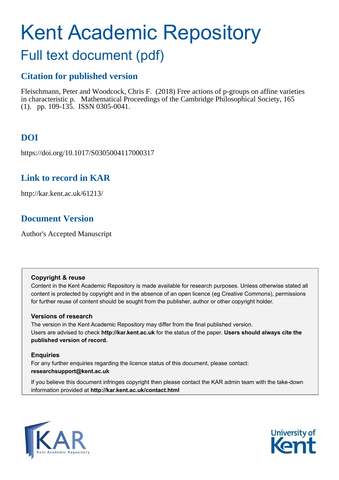# Kent Academic Repository

## Full text document (pdf)

## **Citation for published version**

Fleischmann, Peter and Woodcock, Chris F. (2018) Free actions of p-groups on affine varieties in characteristic p. Mathematical Proceedings of the Cambridge Philosophical Society, 165 (1). pp. 109-135. ISSN 0305-0041.

## **DOI**

https://doi.org/10.1017/S0305004117000317

## **Link to record in KAR**

http://kar.kent.ac.uk/61213/

## **Document Version**

Author's Accepted Manuscript

#### **Copyright & reuse**

Content in the Kent Academic Repository is made available for research purposes. Unless otherwise stated all content is protected by copyright and in the absence of an open licence (eg Creative Commons), permissions for further reuse of content should be sought from the publisher, author or other copyright holder.

#### **Versions of research**

The version in the Kent Academic Repository may differ from the final published version. Users are advised to check **http://kar.kent.ac.uk** for the status of the paper. **Users should always cite the published version of record.**

#### **Enquiries**

For any further enquiries regarding the licence status of this document, please contact: **researchsupport@kent.ac.uk**

If you believe this document infringes copyright then please contact the KAR admin team with the take-down information provided at **http://kar.kent.ac.uk/contact.html**



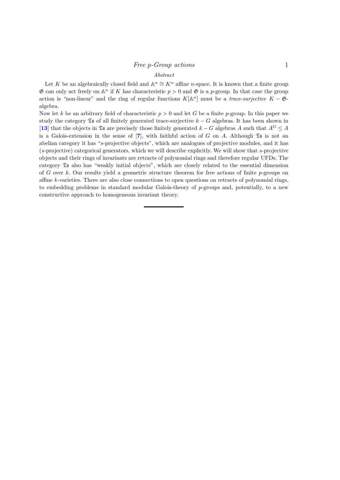#### Abstract

Let K be an algebraically closed field and  $\mathbb{A}^n \cong K^n$  affine n-space. It is known that a finite group  $\mathfrak G$  can only act freely on  $\mathbb A^n$  if K has characteristic  $p > 0$  and  $\mathfrak G$  is a p-group. In that case the group action is "non-linear" and the ring of regular functions  $K[\mathbb{A}^n]$  must be a *trace-surjective*  $K - \mathfrak{G}$ algebra.

<span id="page-1-3"></span><span id="page-1-2"></span><span id="page-1-1"></span><span id="page-1-0"></span>Now let k be an arbitrary field of characteristic  $p > 0$  and let G be a finite p-group. In this paper we study the category  $\mathfrak{Ts}$  of all finitely generated trace-surjective  $k - G$  algebras. It has been shown in [[13](#page-19-0)] that the objects in  $\mathfrak{Ts}$  are precisely those finitely generated  $k - G$  algebras A such that  $A^G \leq A$ is a Galois-extension in the sense of  $[7]$  $[7]$  $[7]$ , with faithful action of G on A. Although  $\mathfrak{Is}$  is not an abelian category it has "s-projective objects", which are analogues of projective modules, and it has (s-projective) categorical generators, which we will describe explicitly. We will show that s-projective objects and their rings of invariants are retracts of polynomial rings and therefore regular UFDs. The category  $\mathfrak T$ s also has "weakly initial objects", which are closely related to the essential dimension of G over k. Our results yield a geometric structure theorem for free actions of finite  $p$ -groups on affine k-varieties. There are also close connections to open questions on retracts of polynomial rings, to embedding problems in standard modular Galois-theory of p-groups and, potentially, to a new constructive approach to homogeneous invariant theory.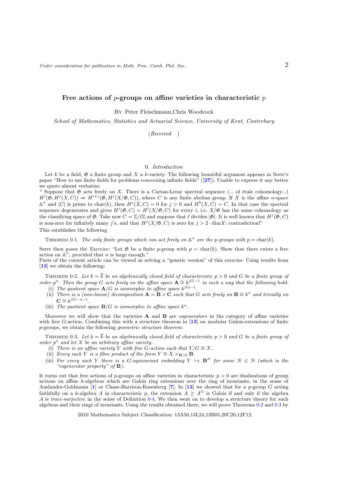#### Free actions of  $p$ -groups on affine varieties in characteristic  $p$

By Peter Fleischmann,Chris Woodcock

<span id="page-2-0"></span>School of Mathematics, Statistics and Actuarial Science, University of Kent, Canterbury

(Received )

#### 0. Introduction

Let k be a field,  $\mathfrak G$  a finite group and X a k-variety. The following beautiful argument appears in Serre's paper "How to use finite fields for problems concerning infinite fields" ([[27](#page-20-0)]). Unable to express it any better we quote almost verbatim:

" Suppose that  $\mathfrak G$  acts freely on X. There is a Cartan-Leray spectral sequence (... of étale cohomology...)  $H^i(\mathfrak{G}, H^j(X, C)) \Rightarrow H^{i+j}(\mathfrak{G}, H^j(X/\mathfrak{G}, C))$ , where C is any finite abelian group. If X is the affine *n*-space  $\mathbb{A}^n$  and |C| is prime to char(k), then  $H^j(X, C) = 0$  for  $j > 0$  and  $H^0(X, C) = C$ . In that case the spectral sequence degenerates and gives  $H^i(\mathfrak{G}, C) = H^i(X/\mathfrak{G}, C)$  for every i, i.e.  $X/\mathfrak{G}$  has the same cohomology as the classifying space of  $\mathfrak{G}$ . Take now  $C = \mathbb{Z}/\ell\mathbb{Z}$  and suppose that  $\ell$  divides  $|\mathfrak{G}|$ . It is well known that  $H^j(\mathfrak{G}, C)$ is non-zero for infinitely many j's, and that  $H<sup>j</sup>(X/\mathfrak{G}, C)$  is zero for  $j > 2 \cdot \text{dim}X$ : contradiction!" This establishes the following

THEOREM 0.1. The only finite groups which can act freely on  $\mathbb{A}^n$  are the p-groups with  $p = \text{char}(k)$ .

Serre then poses the *Exercise*: "Let  $\mathfrak{G}$  be a finite p-group with  $p = \text{char}(k)$ . Show that there exists a free action on  $\mathbb{A}^n$ , provided that *n* is large enough."

Parts of the current article can be viewed as solving a "generic version" of this exercise. Using results from [[13](#page-19-0)] we obtain the following:

THEOREM 0.2. Let  $k = \overline{k}$  be an algebraically closed field of characteristic  $p > 0$  and G be a finite group of order  $p^n$ . Then the group G acts freely on the affine space  $A \cong k^{|G|-1}$  in such a way that the following hold:

- (i) The quotient space  $\mathbf{A}/G$  is isomorphic to affine space  $k^{|G|-1}$ .
- (ii) There is a (non-linear) decomposition  $\mathbf{A} = \mathbf{B} \times \mathbf{C}$  such that G acts freely on  $\mathbf{B} \cong k^n$  and trivially on  $\mathbf{C} \cong k^{|G|-n-1}.$
- (iii) The quotient space  $\mathbf{B}/G$  is isomorphic to affine space  $k^n$ .

Moreover we will show that the varieties  $A$  and  $B$  are *cogenerators* in the category of affine varieties with free G-action. Combining this with a structure theorem in [[13](#page-19-0)] on modular Galois-extensions of finite p-groups, we obtain the following geometric structure theorem:

THEOREM 0.3. Let  $k = \overline{k}$  be an algebraically closed field of characteristic  $p > 0$  and G be a finite group of order  $p^n$  and let X be an arbitrary affine variety.

- (i) There is an affine variety Y with free G-action such that  $Y/G \cong X$ .
- (ii) Every such Y is a fibre product of the form  $Y \cong X \times_{\mathbf{B}/G} \mathbf{B}$ .
- (iii) For every such Y there is a G-equivariant embedding  $Y \hookrightarrow \mathbf{B}^N$  for some  $N \in \mathbb{N}$  (which is the "cogenerator property" of B).

It turns out that free actions of p-groups on affine varieties in characteristic  $p > 0$  are dualizations of group actions on affine k-algebras which are Galois ring extensions over the ring of invariants, in the sense of Auslander-Goldmann [[1](#page-19-2)] or Chase-Harrison-Rosenberg [[7](#page-19-1)]. In [[13](#page-19-0)] we showed that for a p-group G acting faithfully on a k-algebra A in characteristic p, the extension  $A \geq A^G$  is Galois if and only if the algebra A is trace-surjective in the sense of Definition 0·[4.](#page-2-0) We then went on to develop a structure theory for such algebras and their rings of invariants. Using the results obtained there, we will prove Theorems [0](#page-1-0)·2 and [0](#page-1-1)·3 by

2010 Mathematics Subject Classification: 13A50,14L24,13B05,20C20,12F12.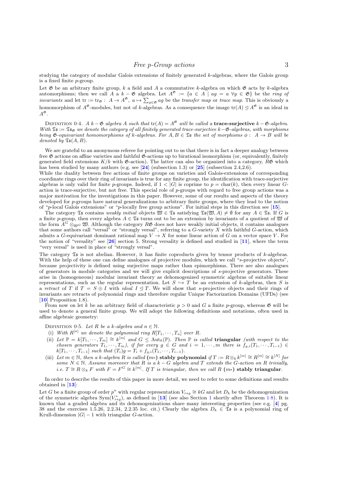studying the category of modular Galois extensions of finitely generated  $k$ -algebras, where the Galois group is a fixed finite p-group.

<span id="page-3-1"></span>Let  $\mathfrak G$  be an arbitrary finite group, k a field and A a commutative k-algebra on which  $\mathfrak G$  acts by k-algebra automorphisms; then we call  $\overrightarrow{A}$  a  $k - \mathfrak{G}$  algebra. Let  $A^{\mathfrak{G}} := \{a \in \overrightarrow{A} \mid a g = a \; \forall g \in \mathfrak{G}\}\$  be the ring of *invariants* and let tr := tr<sub> $\mathfrak{G}$ </sub> :  $A \to A^{\mathfrak{G}}$ ,  $a \mapsto \sum_{g \in \mathfrak{G}} ag$  be the *transfer map* or *trace map*. This is obviously a homomorphism of  $A^{\mathfrak{G}}$ -modules, but not of k-algebras. As a consequence the image  $\text{tr}(A) \leq A^{\mathfrak{G}}$  is an ideal in  $A^{\mathfrak{G}}.$ 

<span id="page-3-2"></span>DEFINITION 0.4. A  $k - \mathfrak{G}$  algebra A such that  $tr(A) = A^{\mathfrak{G}}$  will be called a **trace-surjective**  $k - \mathfrak{G}$ -algebra. With  $\mathfrak{Ts} := \mathfrak{Ts}_\mathfrak{G}$  we denote the category of all finitely generated trace-surjective k− $\mathfrak{G}$ -algebras, with morphisms being  $\mathfrak G$ -equivariant homomorphisms of k-algebras. For  $A, B \in \mathfrak T$  the set of morphisms  $\phi : A \to B$  will be denoted by  $\mathfrak{Is}(A, B)$ .

We are grateful to an anonymous referee for pointing out to us that there is in fact a deeper analogy between free  $\mathfrak G$  actions on affine varieties and faithful  $\mathfrak G$ -actions up to birational isomorphism (or, equivalently, finitely generated field extensions  $K/k$  with  $\mathfrak{G}\text{-action}$ . The latter can also be organized into a category,  $R\mathfrak{G}$  which has been studied by many authors (e.g. see  $[24]$  $[24]$  $[24]$  (subsection 1.3) or  $[25]$  $[25]$  $[25]$  (subsection 2.4,2.6).

While the duality between free actions of finite groups on varieties and Galois-extensions of corresponding coordinate rings over their ring of invariants is true for any finite group, the identification with trace-surjective algebras is only valid for finite p-groups. Indeed, if  $1 < |G|$  is coprime to  $p = \text{char}(k)$ , then every linear Gaction is trace-surjective, but not free. This special role of  $p$ -groups with regard to free group actions was a major motivation for the investigations in this paper. However, some of our results and aspects of the theory developed for  $p$ -groups have natural generalizations to arbitrary finite groups, where they lead to the notion of "p-local Galois extensions" or "p-locally free group actions". For initial steps in this direction see [[15](#page-19-3)].

The category  $\mathfrak{Is}$  contains weakly initial objects  $\mathfrak{W} \in \mathfrak{Is}$  satisfying  $\mathfrak{Is}(\mathfrak{W}, A) \neq \emptyset$  for any  $A \in \mathfrak{Is}$ . If G is a finite p-group, then every algebra  $A \in \mathfrak{Ts}$  turns out to be an extension by invariants of a quotient of  $\mathfrak W$  of the form  $A^G \otimes_{\mathfrak{M}^G} \mathfrak{W}$ . Although the category  $R\mathfrak{G}$  does not have weakly initial objects, it contains analogues that some authors call "versal" or "strongly versal", referring to a G-variety X with faithful G-action, which admits a G-equivariant dominant rational map  $V \to X$  for some linear action of G on a vector space V. For the notion of "versality" see [[26](#page-20-3)] section 5. Strong versality is defined and studied in [[11](#page-19-4)], where the term "very versal" is used in place of "strongly versal".

<span id="page-3-4"></span>The category  $\mathfrak T$  is not abelian. However, it has finite coproducts given by tensor products of k-algebras. With the help of these one can define analogues of projective modules, which we call "s-projective objects", because projectivity is defined using surjective maps rather than epimorphisms. There are also analogues of generators in module categories and we will give explicit descriptions of s-projective generators. These arise in (homogeneous) modular invariant theory as dehomogenized symmetric algebras of suitable linear representations, such as the regular representation. Let  $S \hookrightarrow T$  be an extension of k-algebras, then S is a retract of T if  $T = S \oplus I$  with *ideal*  $I \subseteq T$ . We will show that s-projective objects and their rings of invariants are retracts of polynomial rings and therefore regular Unique Factorization Domains (UFDs) (see [[10](#page-19-5)] Proposition 1.8).

From now on let k be an arbitrary field of characteristic  $p > 0$  and G a finite p-group, whereas  $\mathfrak{G}$  will be used to denote a general finite group. We will adopt the following definitions and notations, often used in affine algebraic geometry:

<span id="page-3-3"></span>DEFINITION 0.5. Let R be a k-algebra and  $n \in \mathbb{N}$ .

- (i) With  $R^{[n]}$  we denote the polynomial ring  $R[T_1, \cdots, T_n]$  over R.
- (ii) Let  $\mathbb{P} = k[T_1, \dots, T_m] \cong k^{[m]}$  and  $G \leq \text{Aut}_k(\mathbb{P})$ . Then  $\mathbb P$  is called **triangular** (with respect to the chosen generators  $T_1, \dots, T_m$ , if for every  $g \in G$  and  $i = 1, \dots, m$  there is  $f_{g,i}(T_1, \dots, T_{i-1}) \in$  $k[T_1, \cdots, T_{i-1}]$  such that  $(T_i)g = T_i + f_{g,i}(T_1, \cdots, T_{i-1}).$
- (iii) Let  $m \in \mathbb{N}$ , then a k-algebra R is called  $(m-)$  stably polynomial if  $T := R \otimes_k k^{[m]} \cong R^{[m]} \cong k^{[N]}$  for some  $N \in \mathbb{N}$ . Assume moreover that R is a k – G algebra and T extends the G-action on R trivially, *i.e.*  $T \cong R \otimes_k F$  with  $F = F^G \cong k^{[m]}$ . If T is triangular, then we call R (m-) stably triangular.

In order to describe the results of this paper in more detail, we need to refer to some definitions and results obtained in  $[13]$  $[13]$  $[13]$ :

<span id="page-3-0"></span>Let G be a finite group of order  $p^n$  with regular representation  $V_{reg} \cong kG$  and let  $D_k$  be the dehomogenization of the symmetric algebra  $Sym(V_{reg}^*)$ , as defined in [[13](#page-19-0)] (see also Section [1](#page-4-0) shortly after Theorem 1·[8\)](#page-6-0). It is known that a graded algebra and its dehomogenizations share many interesting properties (see e.g. [[4](#page-19-6)] pg. 38 and the exercises 1.5.26, 2.2.34, 2.2.35 loc. cit.) Clearly the algebra  $D_k \in \mathfrak{S}$  is a polynomial ring of Krull-dimension  $|G| - 1$  with triangular G-action.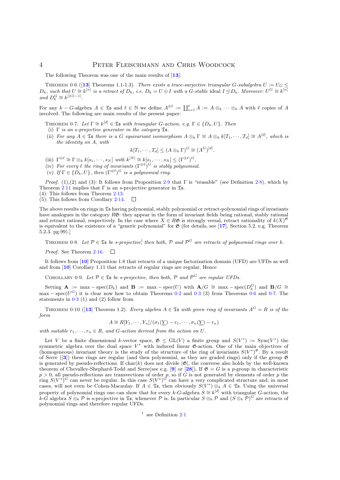The following Theorem was one of the main results of [[13](#page-19-0)]:

THEOREM 0.6 ([[13](#page-19-0)] Theorems 1.1-1.3). There exists a trace-surjective triangular G-subalgebra  $U := U_G$  $D_k$ , such that  $U \cong k^{[n]}$  is a retract of  $D_k$ , i.e.  $D_k = U \oplus I$  with a G-stable ideal  $I \trianglelefteq D_k$ . Moreover:  $U^G \cong k^{[n]}$ and  $D_k^G \cong k^{[|G|-1]}$ .

For any  $k - G$ -algebra  $A \in \mathfrak{Ts}$  and  $\ell \in \mathbb{N}$  we define  $A^{\otimes \ell} := \coprod_{i=1}^{\ell} A := A \otimes_k \cdots \otimes_k A$  with  $\ell$  copies of  $A$ involved. The following are main results of the present paper:

THEOREM 0.7. Let  $\Gamma \cong k^{[d]} \in \mathfrak{Ts}$  with triangular G-action, e.g.  $\Gamma \in \{D_k, U\}$ . Then

- (i)  $\Gamma$  is an s-projective generator in the category  $\mathfrak{S}s$ .
- (ii) For any  $A \in \mathfrak{Ts}$  there is a G equivariant isomorphism  $A \otimes_k \Gamma \cong A \otimes_k k[T_1, \cdots, T_d] \cong A^{[d]}$ , which is the identity on A, with

$$
k[T_1, \cdots, T_d] \leq (A \otimes_k \Gamma)^G \cong (A^G)^{[d]}.
$$

<span id="page-4-1"></span>(iii)  $\Gamma^{\otimes \ell} \cong \Gamma \otimes_k k[s_1, \cdots, s_N]$  with  $k^{[N]} \cong k[s_1, \cdots, s_N] \leq (\Gamma^{\otimes \ell})^G$ .

- (iv) For every  $\ell$  the ring of invariants  $(\Gamma^{\otimes \ell})^G$  is stably polynomial.
- (v) If  $\Gamma \in \{D_k, U\}$ , then  $(\Gamma^{\otimes \ell})^G$  is a polynomial ring.

Proof. (1),([2](#page-9-0)) and (3): It follows from Proposition 2.9 that Γ is "erasable" (see Definition 2.[8\)](#page-8-0), which by Theorem  $2.11$  $2.11$  implies that  $\Gamma$  is an *s*-projective generator in  $\mathfrak{Ts}$ . (4): This follows from Theorem 2·[13.](#page-9-2)

(5): This follows from Corollary 2·[14.](#page-10-0)  $\Box$ 

The above results on rings in  $\mathfrak{S}_5$  having polynomial, stably polynomial or retract-polynomial rings of invariants have analogues in the category  $R\mathfrak{G}$ : they appear in the form of invariant fields being rational, stably rational and retract rational, respectively. In the case where  $X \in R\mathfrak{G}$  is strongly versal, retract rationality of  $k(X)^{\mathfrak{G}}$ is equivalent to the existence of a "generic polynomial" for  $\mathfrak{G}$  (for details, see [[17](#page-19-7)], Section 5.2. e.g. Theorem 5.2.3. pg.99).]

THEOREM 0.8. Let  $P \in \mathfrak{Ts}$  be s-projective[,](#page-3-0) then both,  $P$  and  $P^G$  are retracts of polynomial rings over k.

<span id="page-4-2"></span>*Proof.* See Theorem 2.[16.](#page-10-1)  $\Box$ 

It follows from [[10](#page-19-5)] Proposition 1.8 that retracts of a unique factorization domain (UFD) are UFDs as well and from [[10](#page-19-5)] Corollary 1.11 that retracts of regular rings are regular. Hence

COROLLARY 0.9. Let  $P \in \mathfrak{Ts}$  be s-projective, then both,  $P$  and  $P^G$  are regular UFDs.

Setting  ${\bf A} := \max - \text{spec}(D_k)$  and  ${\bf B} := \max - \text{spec}(U)$  with  ${\bf A}/G \cong \max - \text{spec}(D_k^G)$  and  ${\bf B}/G \cong$ max – spec( $U^G$ ) it is clear now how to obtain Theorems [0](#page-3-1)·2 and 0·3 (3) from Theorems 0·6 and 0·[7.](#page-3-2) The statements in  $0.3$  $0.3$  (1) and (2) follow from

THEOREM 0.10 ([[13](#page-19-0)] Theorem 1.2). Every algebra  $A \in \mathfrak{Ts}$  with given ring of invariants  $A^G = R$  is of the form

$$
A \cong R[Y_1, \cdots, Y_n]/(\sigma_1(\underline{Y}) - r_1, \cdots, \sigma_n(\underline{Y}) - r_n)
$$

with suitable  $r_1, \dots, r_n \in R$ , and G-action derived from the action on U.

<span id="page-4-0"></span>Let V be a finite dimensional k-vector space,  $\mathfrak{G} \leq GL(V)$  a finite group and  $S(V^*) := Sym(V^*)$  the symmetric algebra over the dual space  $V^*$  with induced linear  $\mathfrak{G}\text{-action}$ . One of the main objectives of (homogeneous) invariant theory is the study of the structure of the ring of invariants  $S(V^*)^{\mathfrak{G}}$ . By a result of Serre  $(3)$  $(3)$  $(3)$ ) these rings are regular (and then polynomial, as they are graded rings) only if the group  $\mathfrak{G}$ is generated by pseudo-reflections. If char(k) does not divide  $|\mathfrak{G}|$ , the converse also holds by the well-known theorem of Chevalley-Shephard-Todd and Serre(see e.g. [[9](#page-19-9)] or [[28](#page-20-4)]). If  $\mathfrak{G} = G$  is a p-group in characteristic  $p > 0$ , all pseudo-reflections are transvections of order p, so if G is not generated by elements of order p the ring  $S(V^*)^G$  can never be regular. In this case  $S(V^*)^G$  can have a very complicated structure and, in most cases, will not even be Cohen-Macaulay. If  $A \in \mathfrak{S}_5$ , then obviously  $S(V^*) \otimes_k A \in \mathfrak{S}_5$ . Using the universal property of polynomial rings one can show that for every k-G-algebra  $S \cong k^{[d]}$  with triangular G-action, the  $k-\tilde{G}$  algebra  $S\otimes_k \mathcal{P}$  is s-projective in  $\mathfrak{Ts}$ , whenever  $\mathcal P$  is. In particular  $S\otimes_k \mathcal{P}$  and  $(S\otimes_k \mathcal{P})^G$  are retracts of polynomial rings and therefore regular UFDs.

<sup>1</sup> see Definition [2](#page-7-0).1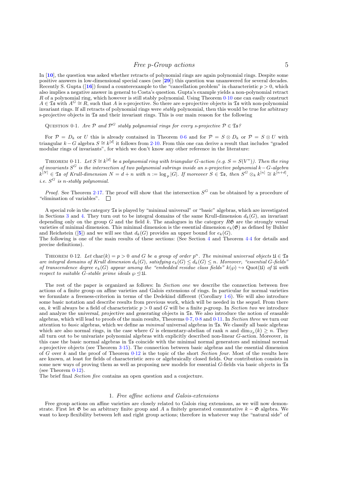In [[10](#page-19-5)], the question was asked whether retracts of polynomial rings are again polynomial rings. Despite some positive answers in low-dimensional special cases (see [[29](#page-20-5)]) this question was unanswered for several decades. Recently S. Gupta ([[16](#page-19-10)]) found a counterexample to the "cancellation problem" in characteristic  $p > 0$ , which also implies a negative answer in general to Costa's question. Gupta's example yields a non-polynomial retract R of a polynomial ring, which however is still stably polynomial. Using Theorem 0·[10](#page-3-3) one can easily construct  $A \in \mathfrak{Ts}$  with  $A^G \cong R$ , such that A is s-projective. So there are s-projective objects in  $\mathfrak{Ts}$  with non-polynomial invariant rings. If all retracts of polynomial rings were stably polynomial, then this would be true for arbitrary s-projective objects in  $\mathfrak T$ s and their invariant rings. This is our main reason for the following

QUESTION 0.1. Are  $P$  and  $P^G$  stably polynomial rings for every s-projective  $P \in \mathfrak{Is}$ ?

For  $P = D_k$  or U this is already contained in Theorem [0](#page-3-1).6 and for  $P = S \otimes D_k$  or  $P = S \otimes U$  with triangular  $k - G$  algebra  $S \cong k^{[d]}$  it follows from 2·[10.](#page-9-3) From this one can derive a result that includes "graded" modular rings of invariants", for which we don't know any other reference in the literature:

<span id="page-5-2"></span><span id="page-5-1"></span>THEOREM 0·11. Let  $S \cong k^{[d]}$  be a polynomial ring with triangular G-action (e.g.  $S = S(V^*)$ ). Then the ring of invariants  $S^G$  is the intersection of two polynomial subrings inside an s-projective polynomial k–G-algebra  $k^{[N]} \in \mathfrak{Ts}$  of Krull-dimension  $N = d + n$  with  $n := \log_p |G|$ . If moreover  $S \in \mathfrak{Ts}$ , then  $S^G \otimes_k k^{[n]} \cong k^{[n+d]}$ , *i.e.*  $S^G$  *is n-stably polynomial.* 

*Proof.* See Theorem 2.[17.](#page-10-2) The proof will show that the intersection  $S^G$  can be obtained by a procedure of "elimination of variables".  $\Box$ 

<span id="page-5-3"></span>A special role in the category  $\mathfrak T$  is played by "minimal universal" or "basic" algebras, which are investigated in Sections [3](#page-11-0) and [4.](#page-16-0) They turn out to be integral domains of the same Krull-dimension  $d_k(G)$ , an invariant depending only on the group G and the field  $k$ . The analogues in the category  $R\mathfrak{G}$  are the strongly versal varieties of minimal dimension. This minimal dimension is the essential dimension  $e_k(\mathfrak{G})$  as defined by Buhler and Reichstein ([[5](#page-19-11)]) and we will see that  $d_k(G)$  provides an upper bound for  $e_k(G)$ . The following is one of the main results of these sections: (See Section [4](#page-16-0) and Theorem [4](#page-17-0)·4 for details and

precise definitions).

THEOREM 0.12. Let char $(k) = p > 0$  and G be a group of order  $p^n$ . The minimal universal objects  $\mathfrak{U} \in \mathfrak{S}$ are integral domains of Krull dimension  $d_k(G)$ , satisfying  $e_k(G) \leq d_k(G) \leq n$ . Moreover, "essential G-fields" of transcendence degree  $e_k(G)$  appear among the "embedded residue class fields"  $k(\wp) \rightarrow \text{Quot}(\mathfrak{U})$  of  $\mathfrak{U}$  with respect to suitable G-stable prime ideals  $\wp \leq \mathfrak{U}$ .

The rest of the paper is organized as follows: In Section one we describe the connection between free actions of a finite group on affine varieties and Galois extensions of rings. In particular for normal varieties we formulate a freeness-criterion in terms of the Dedekind different (Corollary 1.[6\)](#page-6-1). We will also introduce some basic notation and describe results from previous work, which will be needed in the sequel. From there on, k will always be a field of characteristic  $p > 0$  and G will be a finite p-group. In Section two we introduce and analyze the universal, projective and generating objects in  $\mathfrak{S}_5$ . We also introduce the notion of erasable algebras, which will lead to proofs of the main results, Theorems 0·[7,](#page-3-2) [0](#page-3-4)·8 and 0·[11.](#page-4-1) In Section three we turn our attention to basic algebras, which we define as minimal universal algebras in  $\mathfrak{S}_5$ . We classify all basic algebras which are also normal rings, in the case where G is elementary-abelian of rank n and  $\dim_{\mathbb{F}_p}(k) \geq n$ . They all turn out to be univariate polynomial algebras with explicitly described non-linear G-action. Moreover, in this case the basic normal algebras in  $\mathfrak{S}_5$  coincide with the minimal normal generators and minimal normal s-projective objects (see Theorem 3·[15\)](#page-15-0). The connection between basic algebras and the essential dimension of G over k and the proof of Theorem  $0.12$  $0.12$  is the topic of the short Section four. Most of the results here are known, at least for fields of characteristic zero or algebraically closed fields. Our contribution consists in some new ways of proving them as well as proposing new models for essential G-fields via basic objects in  $\mathfrak{Is}$ (see Theorem  $0.12$ ).

<span id="page-5-0"></span>The brief final Section five contains an open question and a conjecture.

#### 1. Free affine actions and Galois-extensions

<span id="page-5-4"></span>Free group actions on affine varieties are closely related to Galois ring extensions, as we will now demonstrate. First let  $\mathfrak G$  be an arbitrary finite group and A a finitely generated commutative  $k - \mathfrak G$  algebra. We want to keep flexibility between left and right group actions; therefore in whatever way the "natural side" of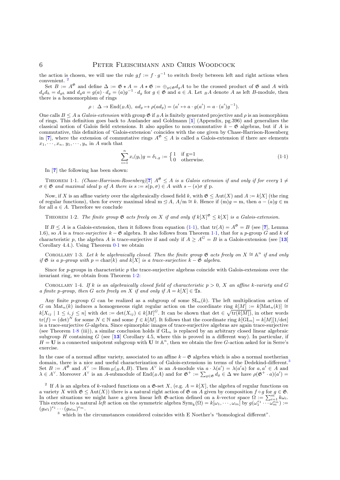the action is chosen, we will use the rule  $gf := f \cdot g^{-1}$  to switch freely between left and right actions when convenient.

Set  $B := A^{\mathfrak{G}}$  and define  $\Delta := \mathfrak{G} \star A = A \star \mathfrak{G} := \oplus_{g \in \mathfrak{G}} d_g A$  to be the crossed product of  $\mathfrak{G}$  and A with  $d_g d_h = d_{gh}$  and  $d_g a = g(a) \cdot d_g = (a)g^{-1} \cdot d_g$  for  $g \in \mathfrak{G}$  and  $a \in A$ . Let  $_B A$  denote A as left B-module, then there is a homomorphism of rings

$$
\rho: \ \Delta \to \mathrm{End}({}_BA), \ ad_g \mapsto \rho(ad_g) = (a' \mapsto a \cdot g(a') = a \cdot (a')g^{-1}).
$$

One calls  $B \leq A$  a *Galois-extension* with group  $\mathfrak G$  if  $_B A$  is finitely generated projective and  $\rho$  is an isomorphism of rings. This definition goes back to Auslander and Goldmann [[1](#page-19-2)] (Appendix, pg.396) and generalizes the classical notion of Galois field extensions. It also applies to non-commutative  $k - \mathfrak{G}$  algebras, but if A is commutative, this definition of 'Galois-extension' coincides with the one given by Chase-Harrison-Rosenberg in [[7](#page-19-1)], where the extension of commutative rings  $A^{\mathfrak{G}} \leq A$  is called a Galois-extension if there are elements  $x_1, \dots, x_n, y_1, \dots, y_n$  in A such that

<span id="page-6-0"></span>
$$
\sum_{i=1}^{n} x_i(y_i)g = \delta_{1,g} := \begin{cases} 1 & \text{if } g=1\\ 0 & \text{otherwise.} \end{cases} \tag{1.1}
$$

In [[7](#page-19-1)] the following has been shown:

THEOREM 1.1. (Chase-Harrison-Rosenberg)[[7](#page-19-1)]  $A^{\mathfrak{G}} \leq A$  is a Galois extension if and only if for every  $1 \neq$  $\sigma \in \mathfrak{G}$  and maximal ideal p of A there is  $s := s(p, \sigma) \in A$  with  $s - (s)\sigma \notin p$ .

Now, if X is an affine variety over the algebraically closed field k, with  $\mathfrak{G} \leq \text{Aut}(X)$  and  $A := k[X]$  (the ring of regular functions), then for every maximal ideal m  $\leq A$ ,  $A/m \cong k$ . Hence if  $(m)g = m$ , then  $a - (a)g \in m$ for all  $a \in A$ . Therefore we conclude

THEOREM 1.2. The finite group  $\mathfrak G$  acts freely on X if and only if  $k[X]^{\mathfrak G} \leq k[X]$  is a Galois-extension.

If  $B \le A$  is a Galois-extension, then it follows from equation [\(1](#page-5-1).1), that  $tr(A) = A^{\mathfrak{G}} = B$  (see [[7](#page-19-1)], Lemma 1.6), so A is a trace-surjective  $k - \mathfrak{G}$  algebra. It also follows from Theorem 1·[1,](#page-5-2) that for a p-group  $G$  and k of characteristic p, the algebra A is trace-surjective if and only if  $A \geq A^G = B$  is a Galois-extension (see [[13](#page-19-0)] Corollary 4.4.). Using Theorem [0](#page-1-2)·1 we obtain

<span id="page-6-1"></span>COROLLARY 1.3. Let k be algebraically closed. Then the finite group  $\mathfrak G$  acts freely on  $X \cong \mathbb{A}^n$  if and only if  $\mathfrak G$  is a p-group with  $p = \text{char}(k)$  and  $k[X]$  is a trace-surjective  $k - \mathfrak G$  algebra.

Since for p-groups in characteristic  $p$  the trace-surjective algebras coincide with Galois-extensions over the invariant ring, we obtain from Theorem  $1.2$ :

COROLLARY 1.4. If k is an algebraically closed field of characteristic  $p > 0$ , X an affine k-variety and G a finite p-group, then G acts freely on X if and only if  $A = k[X] \in \mathfrak{S}_5$ .

Any finite p-group G can be realized as a subgroup of some  $SL_n(k)$ . The left multiplication action of G on  $\text{Mat}_n(k)$  induces a homogeneous right regular action on the coordinate ring  $k[M] := k[\text{Mat}_n(k)] \cong$  $k[X_{ij} \mid 1 \leq i,j \leq n]$  with det  $:= \det(X_{ij}) \in k[M]^G$ . It can be shown that  $\det \in \sqrt{\text{tr}(k[M])}$ , in other words  $\text{tr}(f) = (\text{det})^N$  for some  $N \in \mathbb{N}$  and some  $f \in k[M]$ . It follows that the coordinate ring  $k[\text{GL}_n] = k[M][1/\text{det}]$ is a trace-surjective G-algebra. Since epimorphic images of trace-surjective algebras are again trace-surjective (see Theorem [1](#page-6-0).8 (iii)), a similar conclusion holds if  $GL_n$  is replaced by an arbitrary closed linear algebraic subgroup H containing G (see [[13](#page-19-0)] Corollary 4.5, where this is proved in a different way). In particular, if  $H = U$  is a connected unipotent subgroup with  $U \cong \mathbb{A}^n$ , then we obtain the free G-action asked for in Serre's exercise.

In the case of a normal affine variety, associated to an affine  $k - \mathfrak{G}$  algebra which is also a normal noetherian domain, there is a nice and useful characterization of Galois-extensions in terms of the Dedekind-different[.](#page-5-4)<sup>3</sup> Set  $B := A^{\mathfrak{G}}$  and  $A^{\vee} := \text{Hom}_{B(BA, B)}$ . Then  $A^{\vee}$  is an A-module via  $a \cdot \lambda(a') = \lambda(a'a)$  for  $a, a' \in A$  and  $\lambda \in A^{\vee}$ . Moreover  $A^{\vee}$  is an A-submodule of End( $_B A$ ) and for  $\mathfrak{G}^+ := \sum_{g \in \mathfrak{G}} d_g \in \Delta$  we have  $\rho(\mathfrak{G}^+ \cdot a)(a') =$ 

<sup>2</sup> If A is an algebra of k-valued functions on a  $\mathfrak{G}\text{-set }X$ , (e.g.  $A = k[X]$ , the algebra of regular functions on a variety X with  $\mathfrak{G} \leq \text{Aut}(X)$ ) there is a natural right action of  $\mathfrak{G}$  on A given by composition  $f \circ g$  for  $g \in \mathfrak{G}$ . In other situations we might have a given linear left  $\mathfrak{G}\text{-action}$  defined on a k-vector space  $\Omega := \sum_{i=1}^{m} k \omega_i$ . This extends to a natural left action on the symmetric algebra  $\text{Sym}_k(\Omega) = k[\omega_1, \cdots, \omega_m]$  by  $g(\omega_1^{e_1} \cdots \omega_m^{e_m}) :=$ This extends to a hattiral teft action on the symmetric algebra  $Sym_k(x) = \kappa[\omega_1, \dots, \omega_m]$  by  $g(\omega_1(g\omega_1)^{e_1} \dots (g\omega_m)^{e_m}$ .

 $3$  which in the circumstances considered coincides with E Noether's "homological different".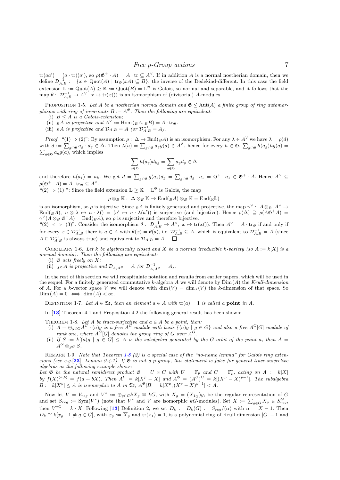$tr(aa') = (a \cdot tr)(a'),$  so  $\rho(\mathfrak{G}^+ \cdot A) = A \cdot tr \subseteq A^{\vee}$ . If in addition A is a normal noetherian domain, then we define  $\mathcal{D}_{A,B}^{-1} := \{x \in \mathrm{Quot}(A) \mid \mathrm{tr}_{\mathfrak{G}}(xA) \subseteq B\}$ , the inverse of the Dedekind-different. In this case the field extension  $\mathbb{L} := \mathrm{Quot}(A) \geq \mathbb{K} := \mathrm{Quot}(B) = \mathbb{L}^{\mathfrak{G}}$  is Galois, so normal and separable, and it follows that the map  $\theta: \mathcal{D}_{A,B}^{-1} \to A^{\vee}, x \mapsto \text{tr}(x() )$  is an isomorphism of (divisorial) A-modules.

PROPOSITION 1.5. Let A be a noetherian normal domain and  $\mathfrak{G} \leq \text{Aut}(A)$  a finite group of ring automorphisms with ring of invariants  $B := A^{\mathfrak{G}}$ . Then the following are equivalent:

- (i)  $B \leq A$  is a Galois-extension;
- (ii)  $_B A$  is projective and  $A^{\vee} := \text{Hom}(B, A, B) = A \cdot \text{tr}_{\mathfrak{G}}$ .
- (iii)  $_B A$  is projective and  $\mathcal{D}_{A,B} = A$  (or  $\mathcal{D}_{A,B}^{-1} = A$ ).

*Proof.* " $(1) \Rightarrow (2)$ ": By assumption  $\rho : \Delta \to \text{End}(B_A)$  is an isomorphism. For any  $\lambda \in A^{\vee}$  we have  $\lambda = \rho(d)$ with  $d := \sum_{g \in \mathfrak{G}} a_g \cdot d_g \in \Delta$ . Then  $\lambda(a) = \sum_{g \in \mathfrak{G}} a_g g(a) \in A^{\mathfrak{G}}$ , hence for every  $h \in \mathfrak{G}$ ,  $\sum_{g \in \mathfrak{G}} h(a_g) h g(a) =$  $\sum_{g \in \mathfrak{G}} a_g g(a)$ , which implies

$$
\sum_{g \in \mathfrak{G}} h(a_g) d_{hg} = \sum_{g \in \mathfrak{G}} a_g d_g \in \Delta
$$

and therefore  $h(a_1) = a_h$ . We get  $d = \sum_{g \in \mathfrak{G}} g(a_1) d_g = \sum_{g \in \mathfrak{G}} d_g \cdot a_1 = \mathfrak{G}^+ \cdot a_1 \in \mathfrak{G}^+ \cdot A$ . Hence  $A^{\vee} \subseteq$  $\rho(\mathfrak{G}^+\cdot A)=A\cdot\mathrm{tr}_{\mathfrak{G}}\subseteq A^\vee.$ 

 $\mathfrak{m}(2) \Rightarrow (1)$  ": Since the field extension  $\mathbb{L} \geq \mathbb{K} = \mathbb{L}^{\mathfrak{G}}$  is Galois, the map

 $\rho \otimes_B \mathbb{K} : \Delta \otimes_B \mathbb{K} \to \text{End}({}_BA) \otimes_B \mathbb{K} = \text{End}(\mathbb{K} \mathbb{L})$ 

is an isomorphism, so  $\rho$  is injective. Since  $_B A$  is finitely generated and projective, the map  $\gamma^{\vee}$ :  $A \otimes_B A^{\vee} \rightarrow$ End(BA),  $a \otimes \lambda \mapsto a \cdot \lambda$   $\lambda$  =  $(a' \mapsto a \cdot \lambda(a'))$  is surjective (and bijective). Hence  $\rho(\Delta) \supseteq \rho(A\mathfrak{G}^+A)$  =  $\gamma^{\vee}(\hat{A}\otimes_{B}\mathfrak{G}^{+}A)=\mathrm{End}({_{B}A})$ , so  $\rho$  is surjective and therefore bijective.

"(2)  $\iff$  (3)": Consider the isomorphism  $\theta: \mathcal{D}_{A,B}^{-1} \to A^{\vee}, x \mapsto \text{tr}(x()).$  Then  $A^{\vee} = A \cdot \text{tr}_{\mathfrak{G}}$  if and only if for every  $x \in \mathcal{D}_{A,B}^{-1}$  there is  $a \in A$  with  $\theta(x) = \theta(a)$ , i.e.  $\mathcal{D}_{A,B}^{-1} \subseteq A$ , which is equivalent to  $\mathcal{D}_{A,B}^{-1} = A$  (since  $A \subseteq \mathcal{D}_{A,B}^{-1}$  is always true) and equivalent to  $\mathcal{D}_{A,B} = A$ .

COROLLARY 1.6. Let k be algebraically closed and X be a normal irreducible k-variety (so  $A := k[X]$  is a normal domain). Then the following are equivalent:

(i)  $\mathfrak G$  acts freely on X;

(ii)  $_A \otimes A$  is projective and  $\mathcal{D}_{A,A} \otimes = A$  (or  $\mathcal{D}_{A,A}^{-1} \otimes = A$ ).

<span id="page-7-0"></span>In the rest of this section we will recapitulate notation and results from earlier papers, which will be used in the sequel. For a finitely generated commutative k-algebra A we will denote by  $Dim(A)$  the Krull-dimension of A. For a k-vector space V we will denote with  $\dim(V) = \dim_k(V)$  the k-dimension of that space. So  $\text{Dim}(A) = 0 \iff \dim(A) < \infty.$ 

DEFINITION 1.7. Let  $A \in \mathfrak{Ts}$ , then an element  $a \in A$  with  $tr(a) = 1$  is called a **point** in A.

In [[13](#page-19-0)] Theorem 4.1 and Proposition 4.2 the following general result has been shown:

THEOREM 1·8. Let A be trace-surjective and  $a \in A$  be a point, then:

- (i)  $A = \bigoplus_{g \in G} A^G \cdot (a)g$  is a free  $A^G$ -module with basis  $\{(a)g \mid g \in G\}$  and also a free  $A^G[G]$  module of rank one, where  $A^G[G]$  denotes the group ring of G over  $A^G$ .
- (ii) If  $S := k[(a)g | g \in G] \leq A$  is the subalgebra generated by the G-orbit of the point a, then  $A =$  $A^G\otimes_{S^G} S.$

<span id="page-7-2"></span>REMARK [1](#page-6-0).9. Note that Theorem 1.8 (2) is a special case of the "no-name lemma" for Galois ring exten-sions (see e.g.[[23](#page-20-6)], Lemma 9.4.1). If  $\mathfrak G$  is not a p-group, this statement is false for general trace-surjective algebras as the following example shows:

Let  $\mathfrak G$  be the natural semidirect product  $\mathfrak G = U \rtimes C$  with  $U = \mathbb F_p$  and  $C = \mathbb F_p^*$ , acting on  $A := k[X]$ by  $f(X)^{(a,b)} = f(a + bX)$ . Then  $A^U = k[X^p - X]$  and  $A^{\mathfrak{G}} = (A^U)^C = k[(X^p - X)^{p-1}]$ . The subalgebra  $B := k[X^p] \leq A$  is isomorphic to A in  $\mathfrak{Is}, A^{\mathfrak{G}}[B] = k[X^p, (X^p - X)^{p-1}] < A$ .

<span id="page-7-3"></span><span id="page-7-1"></span>Now let  $V = V_{reg}$  and  $V^* := \bigoplus_{g \in G} kX_g \cong kG$ , with  $X_g = (X_{1_G})g$ , be the regular representation of G and set  $S_{reg} := \text{Sym}(V^*)$  (note that  $V^*$  and V are isomorphic kG-modules). Set  $X := \sum_{g \in G} X_g \in S_{reg}^G$ , then  $V^{*G} = k \cdot X$ . Following [[13](#page-19-0)] Definition 2, we set  $D_k := D_k(G) := S_{reg}/(\alpha)$  with  $\alpha = X - 1$ . Then  $D_k \cong k[x_q | 1 \neq g \in G]$ , with  $x_q := \overline{X}_q$  and  $tr(x_1) = 1$ , is a polynomial ring of Krull dimension  $|G| - 1$  and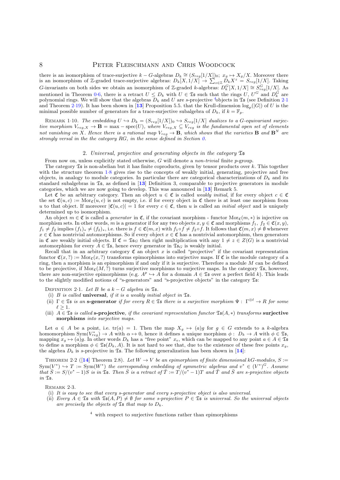#### 8 **PETER FLEISCHMANN AND CHRIS WOODCOCK**

there is an isomorphism of trace-surjective  $k - G$ -algebras  $D_k \cong (S_{reg}[1/X])_0; x_g \mapsto X_g/X$ . Moreover there is an isomorphism of Z-graded trace-surjective algebras:  $D_k[X, 1/X] \to \sum_{z \in \mathbb{Z}} D_k X^z = S_{reg}[1/X]$ . Taking G-invariants on both sides we obtain an isomorphism of Z-graded k-algebras:  $D_k^G[X, 1/X] \cong S_{reg}^G[1/X]$ . As mentioned in Theorem 0.[6,](#page-3-1) there is a retract  $U \leq D_k$  with  $U \in \mathfrak{Ts}$  such that the rings  $U, U^G$  and  $D_k^G$  are polynomial rings. We will show that the algebras  $D_k$  and U are s-projective <sup>[4](#page-7-1)</sup>objects in  $\mathfrak{Is}$  (see Definition [2](#page-7-0).1) and Theorem 2·[19\)](#page-11-1). It has been shown in [[13](#page-19-0)] Proposition 5.5. that the Krull-dimension  $log_p(|G|)$  of U is the minimal possible number of generators for a trace-surjective subalgebra of  $D_k$ , if  $k = \mathbb{F}_p$ .

<span id="page-8-1"></span>REMARK 1·10. The embedding  $U \hookrightarrow D_k = (S_{reg}[1/X])_0 \hookrightarrow S_{reg}[1/X]$  dualizes to a G-equivariant surjective morphism  $V_{reg,X} \to \mathbf{B} = \max - \mathrm{spec}(U)$ , where  $V_{reg,X} \subseteq V_{reg}$  is the fundamental open set of elements not vanishing on X. Hence there is a rational map  $V_{reg} \to \mathbf{B}$ , which shows that the varieties **B** and  $\mathbf{B}^N$  are strongly versal in the the category  $RG$ , in the sense defined in Section  $0$ .

#### 2. Universal, projective and generating objects in the category  $\mathfrak{S}$

From now on, unless explicitly stated otherwise, G will denote a *non-trivial* finite p-group.

The category  $\mathfrak{I}_5$  is non-abelian but it has finite coproducts, given by tensor products over k. This together with the structure theorem  $1.8$  $1.8$  gives rise to the concepts of weakly initial, generating, projective and free objects, in analogy to module categories. In particular there are categorical characterizations of  $D_k$  and its standard subalgebras in  $\mathfrak{Is}$ , as defined in [[13](#page-19-0)] Definition 3, comparable to projective generators in module categories, which we are now going to develop. This was announced in [[13](#page-19-0)] Remark 5.

Let  $\mathfrak C$  be an arbitrary category. Then an object  $u \in \mathfrak C$  is called *weakly initial*, if for every object  $c \in \mathfrak C$ the set  $\mathfrak{C}(u, c) := \text{Mor}_{\mathfrak{C}}(u, c)$  is not empty, i.e. if for every object in  $\mathfrak{C}$  there is at least one morphism from u to that object. If moreover  $|\mathfrak{C}(u, c)| = 1$  for every  $c \in \mathfrak{C}$ , then u is called an *initial object* and is uniquely determined up to isomorphism.

An object  $m \in \mathfrak{C}$  is called a *generator* in  $\mathfrak{C}$ , if the covariant morphism - functor  $\text{Mor}_{\mathfrak{C}}(m, *)$  is injective on morphism sets. In other words, m is a generator if for any two objects  $x, y \in \mathfrak{C}$  and morphisms  $f_1, f_2 \in \mathfrak{C}(x, y)$ ,  $f_1 \neq f_2$  implies  $(f_1)_* \neq (f_2)_*$ , i.e. there is  $f \in \mathfrak{C}(m, x)$  with  $f_1 \circ f \neq f_2 \circ f$ . It follows that  $\mathfrak{C}(m, x) \neq \emptyset$  whenever  $x \in \mathfrak{C}$  has nontrivial automorphisms. So if every object  $x \in \mathfrak{C}$  has a nontrivial automorphism, then generators in C are weakly initial objects. If  $\mathfrak{C} = \mathfrak{TS}_G$  then right multiplication with any  $1 \neq z \in Z(G)$  is a nontrivial automorphism for every  $A \in \mathfrak{Ts}$ , hence every generator in  $\mathfrak{Ts}_G$  is weakly initial.

<span id="page-8-2"></span>Recall that in an arbitrary category  $\mathfrak C$  an object x is called "projective" if the covariant representation functor  $\mathfrak{C}(x, ?) := \text{Mor}_{\mathfrak{C}}(x, ?)$  transforms epimorphisms into surjective maps. If  $\mathfrak{C}$  is the module category of a ring, then a morphism is an epimorphism if and only if it is surjective. Therefore a module M can be defined to be projective, if  $\text{Mor}_{\mathfrak{C}}(M,?)$  turns surjective morphisms to surjective maps. In the category  $\mathfrak{S}_5$ , however, there are non-surjective epimorphisms (e.g.  $A^p \hookrightarrow A$  for a domain  $A \in \mathfrak{S}$  over a perfect field k). This leads to the slightly modified notions of "s-generators" and "s-projective objects" in the category Ts:

DEFINITION 2·1. Let B be a  $k - G$  algebra in  $\mathfrak{Ts}$ .

- (i)  $B$  is called **universal**, if it is a weakly initial object in  $\mathfrak{Is.}$
- (ii)  $\Gamma \in \mathfrak{Ts}$  is an **s-generator** if for every  $R \in \mathfrak{Ts}$  there is a surjective morphism  $\Psi : \Gamma^{\otimes \ell} \to R$  for some  $\ell > 1$ .
- (iii)  $A \in \mathfrak{S}_5$  is called s-projective, if the covariant representation functor  $\mathfrak{S}_5(A, *)$  transforms surjective morphisms *into surjective maps.*

<span id="page-8-3"></span>Let  $a \in A$  be a point, i.e. tr(a) = 1. Then the map  $X_g \mapsto (a)g$  for  $g \in G$  extends to a k-algebra homomorphism  $Sym(V_{reg}^*) \to A$  with  $\alpha \mapsto 0$ , hence it defines a unique morphism  $\phi: D_k \to A$  with  $\phi \in \mathfrak{S}_5$ , mapping  $x_g \mapsto (a)g$ . In other words  $D_k$  has a "free point"  $x_e$ , which can be mapped to any point  $a \in A \in \mathfrak{X}$ s to define a morphism  $\phi \in \mathfrak{Ts}(D_k, A)$ . It is not hard to see that, due to the existence of these free points  $x_g$ , the algebra  $D_k$  is s-projective in  $\mathfrak{Ts}$ . The following generalization has been shown in [[14](#page-19-12)]:

THEOREM 2.2 ([[14](#page-19-12)] Theorem 2.8). Let  $W \to V$  be an epimorphism of finite dimensional kG-modules, S :=  $\text{Sym}(V^*) \hookrightarrow T := \text{Sym}(W^*)$  the corresponding embedding of symmetric algebras and  $v^* \in (V^*)^G$ . Assume that  $\overline{S} := S/(v^* - 1)S$  is in  $\overline{S}$  is. Then  $\overline{S}$  is a retract of  $\overline{T} := T/(v^* - 1)T$  and  $\overline{T}$  and  $\overline{S}$  are s-projective objects in Ts.

REMARK 2.3.

- (i) It is easy to see that every s-generator and every s-projective object is also universal.
- (ii) Every  $A \in \mathfrak{Ts}$  with  $\mathfrak{Ts}(A, P) \neq \emptyset$  for some s-projective  $P \in \mathfrak{Ts}$  is universal. So the universal objects are precisely the objects of  $\mathfrak{S}_5$  that map to  $D_k$ .

<span id="page-8-0"></span> $4\text{ with respect to surjective functions rather than enimorphisms}$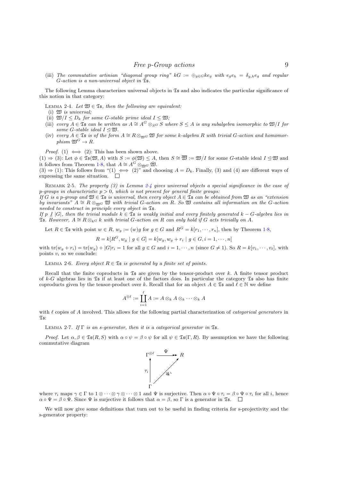(iii) The commutative artinian "diagonal group ring" kG :=  $\bigoplus_{a \in G} k e_a$  with  $e_a e_h = \delta_{a,h} e_a$  and regular G-action is a non-universal object in Ts.

The following Lemma characterizes universal objects in  $\mathfrak{S}_5$  and also indicates the particular significance of this notion in that category:

- LEMMA 2.4. Let  $\mathfrak{W} \in \mathfrak{X}$ , then the following are equivalent:
- (i)  $\mathfrak{W}$  is universal;
- <span id="page-9-0"></span>(ii)  $\mathfrak{W}/I \leq D_k$  for some G-stable prime ideal  $I \leq \mathfrak{W}$ ;
- (iii) every  $A \in \mathfrak{Ts}$  can be written as  $A \cong A^G \otimes_{S^G} S$  where  $S \leq A$  is any subalgebra isomorphic to  $\mathfrak{W}/I$  for some G-stable ideal  $I \triangleleft \mathfrak{W}$ .
- (iv) every  $A \in \mathfrak{Is}$  is of the form  $A \cong R \otimes_{\mathfrak{M}G} \mathfrak{W}$  for some k-algebra R with trivial G-action and homomor $phism \mathfrak{W}^G \to R.$

*Proof.* (1)  $\iff$  (2): This has been shown above.

 $\overline{R}$ 

 $(1) \Rightarrow (3)$ : Let  $\phi \in \mathfrak{Ts}(\mathfrak{W}, A)$  with  $S := \phi(\mathfrak{W}) \leq A$ , then  $S \cong \overline{\mathfrak{W}} := \mathfrak{W}/I$  for some G-stable ideal  $I \subseteq \mathfrak{W}$  and it follows from Theorem 1·[8,](#page-6-0) that  $A \cong A^G \otimes_{\overline{\mathfrak{W}}^G} \overline{\mathfrak{W}}$ .

<span id="page-9-3"></span> $(3) \Rightarrow (1)$ : This follows from " $(1) \iff (2)$ " and choosing  $A = D_k$ . Finally,  $(3)$  and  $(4)$  are different ways of expressing the same situation.

REMARK 2.5. The property (3) in Lemma 2.[4](#page-8-1) gives universal objects a special significance in the case of p-groups in characteristic  $p > 0$ , which is not present for general finite groups:

If G is a p-group and  $\mathfrak{W} \in \mathfrak{T}_5$  is universal, then every object  $A \in \mathfrak{T}_5$  can be obtained from  $\mathfrak{W}$  as an "extension by invariants"  $A \cong R \otimes_{\mathfrak{M}^G} \mathfrak{W}$  with trivial G-action on R. So  $\mathfrak{W}$  contains all information on the G-action needed to construct in principle every object in Ts.

If p  $\beta$  |G|, then the trivial module  $k \in \mathfrak{S}$  is weakly initial and every finitely generated  $k - G$ -algebra lies in  $\mathfrak{S}_5$ . However,  $A \cong R \otimes_{k} G$  k with trivial G-action on R can only hold if G acts trivially on A.

Let  $R \in \mathfrak{Ts}$  with point  $w \in R$ ,  $w_g := (w)g$  for  $g \in G$  and  $R^G = k[r_1, \dots, r_n]$ , then by Theorem 1.[8,](#page-6-0)

$$
= k[R^G, w_g | g \in G] = k[w_g, w_g + r_i | g \in G, i = 1, \dots, n]
$$

with  $\text{tr}(w_g + r_i) = \text{tr}(w_g) + |G|r_i = 1$  for all  $g \in G$  and  $i = 1, \dots, n$  (since  $G \neq 1$ ). So  $R = k[v_1, \dots, v_\ell]$ , with points  $v_i$  so we conclude:

<span id="page-9-1"></span>LEMMA 2·6. Every object  $R \in \mathfrak{S}$  is generated by a finite set of points.

Recall that the finite coproducts in  $\mathfrak{S}_5$  are given by the tensor-product over k. A finite tensor product of k-G algebras lies in  $\mathfrak T$ s if at least one of the factors does. In particular the category  $\mathfrak T$ s also has finite coproducts given by the tensor-product over k. Recall that for an object  $A \in \mathfrak{Is}$  and  $\ell \in \mathbb{N}$  we define

$$
A^{\otimes \ell} := \coprod_{i=1}^{\ell} A := A \otimes_k A \otimes_k \cdots \otimes_k A
$$

with  $\ell$  copies of A involved. This allows for the following partial characterization of *categorical generators* in  $\tau_{\mathfrak{s}}$ .

LEMMA 2.7. If  $\Gamma$  is an s-generator, then it is a categorical generator in  $\mathfrak{Is.}$ 

*Proof.* Let  $\alpha, \beta \in \mathfrak{Is}(R, S)$  with  $\alpha \circ \psi = \beta \circ \psi$  for all  $\psi \in \mathfrak{Is}(\Gamma, R)$ . By assumption we have the following commutative diagram



where  $\tau_i$  maps  $\gamma \in \Gamma$  to  $1 \otimes \cdots \otimes \gamma \otimes \cdots \otimes 1$  and  $\Psi$  is surjective. Then  $\alpha \circ \Psi \circ \tau_i = \beta \circ \Psi \circ \tau_i$  for all i, hence  $\alpha \circ \Psi = \beta \circ \Psi$ . Since  $\Psi$  is surjective it follows that  $\alpha = \beta$ , so  $\Gamma$  is a generator in  $\mathfrak{Is.}$ 

<span id="page-9-2"></span>We will now give some definitions that turn out to be useful in finding criteria for s-projectivity and the s-generator property: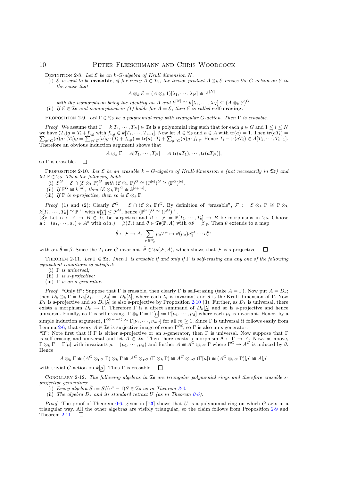DEFINITION 2.8. Let  $\mathcal E$  be an k-G-algebra of Krull dimension N.

(i)  $\mathcal E$  is said to be **erasable**, if for every  $A \in \mathfrak{Ts}$ , the tensor product  $A \otimes_k \mathcal E$  erases the G-action on  $\mathcal E$  in the sense that  $\mathbb{R}$   $\mathbb{R}$ 

$$
A \otimes_k \mathcal{E} = (A \otimes_k 1)[\lambda_1, \cdots, \lambda_N] \cong A^{[N]},
$$

with the isomorphism being the identity on A and  $k^{[N]} \cong k[\lambda_1, \cdots, \lambda_N] \subseteq (A \otimes_k \mathcal{E})^G$ . (ii) If  $\mathcal{E} \in \mathfrak{S}_5$  and isomorphism in (1) holds for  $A = \mathcal{E}$ , then  $\mathcal{E}$  is called self-erasing.

PROPOSITION 2.9. Let  $\Gamma \in \mathfrak{Ts}$  be a polynomial ring with triangular G-action. Then  $\Gamma$  is erasable.

*Proof.* We assume that  $\Gamma = k[T_1, \cdots, T_N] \in \mathfrak{Ts}$  is a polynomial ring such that for each  $g \in G$  and  $1 \leq i \leq N$ we have (  $\sum$  $T_i$ )g =  $T_i + f_{i,g}$  with  $f_{i,g} \in k[T_1, \dots, T_{i-1}]$ . Now let  $A \in \mathfrak{Ts}$  and  $a \in A$  with  $\text{tr}(a) = 1$ . Then  $\text{tr}(aT_i) = 1$  $g_{g\in G}(a)g\cdot(T_i)g=\sum_{g\in G}(a)g\cdot(T_i+f_{i,g})=\text{tr}(a)\cdot T_i+\sum_{g\in G}(a)g\cdot f_{i,g}.$  Hence  $T_i-\text{tr}(aT_i)\in A[T_1,\cdots,T_{i-1}].$ Therefore an obvious induction argument shows that

$$
A \otimes_k \Gamma = A[T_1, \cdots, T_N] = A[\text{tr}(aT_1), \cdots, \text{tr}(aT_N)],
$$

so  $\Gamma$  is erasable.  $\Box$ 

<span id="page-10-0"></span>PROPOSITION 2·10. Let  $\mathcal E$  be an erasable  $k - G$ -algebra of Krull-dimension e (not necessarily in  $\mathfrak{S}_5$ ) and let  $\mathbb{P} \in \mathfrak{Ts}$ . Then the following hold:

- (i)  $\mathcal{E}^G = \mathcal{E} \cap (\mathcal{E} \otimes_k \mathbb{P})^G$  with  $(\mathcal{E} \otimes_k \mathbb{P})^G \cong (\mathbb{P}^{[e]})^G \cong (\mathbb{P}^G)^{[e]}$ .
- (ii) If  $\mathbb{P}^G \cong k^{[m]}$ , then  $(\mathcal{E} \otimes_k \mathbb{P})^G \cong k^{[e+m]}$ .
- (iii) If  $\mathbb P$  is s-projective, then so is  $\mathcal E \otimes_k \mathbb P$ .

*Proof.* (1) and (2): Clearly  $\mathcal{E}^G = \mathcal{E} \cap (\mathcal{E} \otimes_k \mathbb{P})^G$ . By definition of "erasable",  $\mathcal{F} := \mathcal{E} \otimes_k \mathbb{P} \cong \mathbb{P} \otimes_k$  $k[T_1, \dots, T_n] \cong \mathbb{P}^{\lbrack e \rbrack}$  with  $k[\underline{T}] \leq \mathcal{F}^G$ , hence  $(\mathbb{P}^{\lbrack e \rbrack})^G \cong (\mathbb{P}^G)^{\lbrack e \rbrack}$ .<br>(3): Let  $\alpha : A \to B \in \mathfrak{Is}$  be surjective and  $\beta : \mathcal{F} = \mathbb{P}[T_1, \dots, T_e] \to B$  be morphisms in  $\mathfrak{Is}$ . Choose

 $\mathbf{a} := (a_1, \dots, a_e) \in A^e$  with  $\alpha(a_i) = \beta(T_i)$  and  $\theta \in \mathfrak{Is}(\mathbb{P}, A)$  with  $\alpha\theta = \beta_{\mathbb{P}}$ . Then  $\theta$  extends to a map

<span id="page-10-1"></span>
$$
\tilde{\theta}: \ \mathcal{F} \to A, \ \sum_{\mu \in \mathbb{N}_0^e} p_{\mu} \underline{T}^{\mu} \mapsto \theta(p_{\mu}) a_1^{\mu_1} \cdots a_e^{\mu_e}
$$

with  $\alpha \circ \tilde{\theta} = \beta$ . Since the  $T_i$  are G-invariant,  $\tilde{\theta} \in \mathfrak{Is}(\mathcal{F}, A)$ , which shows that  $\mathcal F$  is s-projective.

THEOREM 2.11. Let  $\Gamma \in \mathfrak{Ts}$ . Then  $\Gamma$  is erasable if and only if  $\Gamma$  is self-erasing and any one of the following equivalent conditions is satisfied:

- (i)  $\Gamma$  is universal;
- (ii)  $\Gamma$  *is s-projective*;
- (iii)  $\Gamma$  is an s-generator.

*Proof.* "Only if": Suppose that Γ is erasable, then clearly Γ is self-erasing (take  $A = \Gamma$ ). Now put  $A = D_k$ ; then  $D_k \otimes_k \Gamma = D_k[\lambda_1, \dots, \lambda_d] =: D_k[\underline{\lambda}],$  where each  $\lambda_i$  is invariant and d is the Krull-dimension of Γ. Now  $D_k$  is s-projective and so  $D_k[\underline{\tilde{\lambda}}]$  is also s-projective by Proposition 2·[10](#page-9-3) (3). Further, as  $D_k$  is universal, there exists a morphism  $D_k \to \Gamma$ . Therefore  $\Gamma$  is a direct summand of  $D_k[\underline{\lambda}]$  and so is s-projective and hence universal. Finally, as Γ is self-erasing,  $\Gamma \otimes_k \Gamma = \Gamma[\mu] := \Gamma[\mu_1, \cdots, \mu_d]$  where each  $\mu_i$  is invariant. Hence, by a simple induction argument,  $\Gamma^{\otimes(m+1)} \cong \Gamma[\nu_1, \cdots, \nu_{md}]$  for all  $m \geq 1$ . Since  $\Gamma$  is universal it follows easily from Lemma 2 $\cdot$ [6,](#page-8-2) that every  $A \in \mathfrak{Ts}$  is surjective image of some  $\Gamma^{\otimes \ell}$ , so  $\Gamma$  is also an s-generator.

"If": Note first that if  $\Gamma$  is either s-projective or an s-generator, then  $\Gamma$  is universal. Now suppose that  $\Gamma$ is self-erasing and universal and let  $A \in \mathfrak{Ts}$ . Then there exists a morphism  $\theta : \Gamma \to A$ . Now, as above,  $\Gamma \otimes_k \Gamma = \Gamma[\mu]$  with invariants  $\mu = (\mu_1, \dots, \mu_d)$  and further  $A \cong A^G \otimes_{\Gamma} G \Gamma$  where  $\Gamma^G \to A^G$  is induced by  $\theta$ . Hence

<span id="page-10-2"></span> $A\otimes_k\Gamma\cong (A^G\otimes_{\Gamma^G}\Gamma)\otimes_k\Gamma\cong A^G\otimes_{\Gamma^G}(\Gamma\otimes_k\Gamma)\cong A^G\otimes_{\Gamma^G}(\Gamma[\underline{\mu}])\cong (A^G\otimes_{\Gamma^G}\Gamma)[\underline{\mu}]\cong A[\underline{\mu}]$ 

with trivial G-action on  $k[\mu]$ . Thus  $\Gamma$  is erasable.  $\Box$ 

COROLLARY 2.12. The following algebras in  $\mathfrak{S}$  are triangular polynomial rings and therefore erasable sprojective generators:

- (i) Every algebra  $\bar{S} := S/(v^* 1)S \in \mathfrak{Ts}$  as in Theorem [2.](#page-7-2)2.
- (ii) The algebra  $D_k$  and its standard retract U (as in Theorem 0.[6\)](#page-3-1).

*Proof.* The proof of Theorem 0.[6,](#page-3-1) given in [[13](#page-19-0)] shows that U is a polynomial ring on which G acts in a triangular way. All the other algebras are visibly triangular, so the claim follows from Proposition [2](#page-9-0)·9 and Theorem 2.[11.](#page-9-1)  $\Box$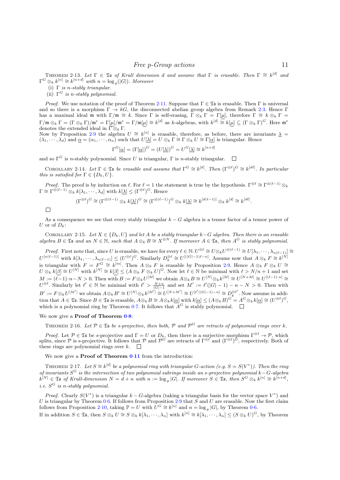THEOREM 2·13. Let  $\Gamma \in \mathfrak{Ts}$  of Krull dimension d and assume that  $\Gamma$  is erasable. Then  $\Gamma \cong k^{[d]}$  and  $\Gamma^G \otimes_k k^{[n]} \cong k^{[n+d]}$  with  $n = \log_p(|G|)$ . Moreover

(i)  $\Gamma$  is n-stably triangular.

(ii)  $\Gamma^G$  is n-stably polynomial.

Proof. We use notation of the proof of Theorem 2.[11.](#page-9-1) Suppose that  $\Gamma \in \mathfrak{F}_5$  is erasable. Then  $\Gamma$  is universal and so there is a morphism  $\Gamma \to kG$ , the disconnected abelian group algebra from Remark 2.[3.](#page-7-3) Hence Γ has a maximal ideal m with  $\Gamma/\mathfrak{m} \cong k$ . Since  $\Gamma$  is self-erasing,  $\Gamma \otimes_k \Gamma = \Gamma[\mu]$ , therefore  $\Gamma \cong k \otimes_k \Gamma =$  $\Gamma/\mathfrak{m} \otimes_k \Gamma = (\Gamma \otimes_k \Gamma)/\mathfrak{m}^e = \Gamma[\mu]/\mathfrak{m}^e = \Gamma/\mathfrak{m}[\mu] \cong k^{[d]}$  as k-algebras, with  $k^{[d]} \cong k[\mu] \subseteq (\Gamma \otimes_k \Gamma)^G$ . Here  $\mathfrak{m}^e$ denotes the extended ideal in  $\Gamma \otimes_k \Gamma$ .

<span id="page-11-1"></span>Now by Proposition [2](#page-9-0).9 the algebra  $U \cong k^{[n]}$  is erasable, therefore, as before, there are invariants  $\lambda$  $(\lambda_1, \dots, \lambda_d)$  and  $\underline{\alpha} = (\alpha_1, \dots, \alpha_n)$  such that  $U[\underline{\lambda}] = U \otimes_k \Gamma \cong \Gamma \otimes_k U \cong \Gamma[\underline{\alpha}]$  is triangular. Hence

$$
\Gamma^{G}[\underline{\alpha}] = (\Gamma[\underline{\alpha}])^{G} = (U[\underline{\lambda}])^{G} = U^{G}[\underline{\lambda}] \cong k^{[n+d]}
$$

and so  $\Gamma^G$  is n-stably polynomial. Since U is triangular,  $\Gamma$  is n-stably triangular.  $\Box$ 

COROLLARY 2.14. Let  $\Gamma \in \mathfrak{Ts}$  be erasable and assume that  $\Gamma^G \cong k^{[d]}$ . Then  $(\Gamma^{\otimes \ell})^G \cong k^{[d\ell]}$ . In particular this is satisfied for  $\Gamma \in \{D_k, U\}$ .

*Proof.* The proof is by induction on  $\ell$ . For  $\ell = 1$  the statement is true by the hypothesis.  $\Gamma^{\otimes \ell} \cong \Gamma^{\otimes (\ell-1)} \otimes_k \ell$  $\Gamma \cong \Gamma^{\otimes (\ell-1)} \otimes_k k[\lambda_1, \cdots, \lambda_d]$  with  $k[\underline{\lambda}] \leq (\Gamma^{\otimes \ell})^G$ . Hence

$$
(\Gamma^{\otimes \ell})^G \cong (\Gamma^{\otimes (\ell-1)} \otimes_k k[\underline{\lambda}])^G \cong (\Gamma^{\otimes (\ell-1)})^G \otimes_k k[\underline{\lambda}] \cong k^{[d(\ell-1)]} \otimes_k k^{[d]} \cong k^{[d\ell]}.
$$

<span id="page-11-0"></span> $\Box$ 

As a consequence we see that every stably triangular  $k - G$  algebra is a tensor factor of a tensor power of U or of  $D_k$ :

COROLLARY 2·15. Let  $X \in \{D_k, U\}$  and let A be a stably triangular k–G algebra. Then there is an erasable algebra  $B \in \mathfrak{Ts}$  and an  $N \in \mathbb{N}$ , such that  $A \otimes_k B \cong X^{\otimes N}$ . If moreover  $A \in \mathfrak{Ts}$ , then  $A^G$  is stably polynomial.

*Proof.* First note that, since U is erasable, we have for every  $\ell \in \mathbb{N}$ :  $U^{\otimes \ell} \cong U \otimes_k U^{\otimes (\ell-1)} \cong U[\lambda_1, \cdots, \lambda_{n(\ell-1)}] \cong$  $U^{[n(\ell-1)]}$  with  $k[\lambda_1,\dots,\lambda_{n(\ell-1)}] \leq (U^{\otimes \ell})^G$ . Similarly  $D_k^{\otimes \ell} \cong U^{[(|G|-1)\ell-n]}$ . Assume now that  $A \otimes_k F \cong k^{[N]}$ is triangular with  $F = F^G \cong k^{[m]}$ . Then  $A \otimes_k F$  is erasable by Proposition 2.[9.](#page-9-0) Hence  $A \otimes_k F \otimes_k U \cong$  $U \otimes_k k[\beta] \cong U^{[N]}$  with  $k^{[N]} \cong k[\beta] \leq (A \otimes_k F \otimes_k U)^G$ . Now let  $\ell \in \mathbb{N}$  be minimal with  $\ell > N/n + 1$  and set  $M := (\ell-1) \cdot n - N > 0$ . Then with  $B := F \otimes_k U^{[M]}$  we obtain  $A \otimes_k B \cong U^{[N]} \otimes_k k^{[M]} \cong U^{[N+M]} \cong U^{[(\ell-1) \cdot n]} \cong$  $U^{\otimes \ell}$ . Similarly let  $\ell' \in \mathbb{N}$  be minimal with  $\ell' > \frac{N+n}{|G|-1}$  and set  $M' := \ell'(|G|-1) - n - N > 0$ . Then with  $B':=F\otimes_k U^{[M']}$  we obtain  $A\otimes_k B'\cong U^{[N]}\otimes_k k^{[M']} \cong U^{[N+M']} \cong U^{[\ell'(|G|-1)-n]} \cong D_k^{\otimes \ell'}$  $\mathbb{R}^k$ . Now assume in addition that  $A \in \mathfrak{Ts}$ . Since  $B \in \mathfrak{Ts}$  is erasable,  $A \otimes_k B \cong A \otimes_k k[\underline{\alpha}]$  with  $k[\underline{\alpha}] \leq (A \otimes_k B)^G = A^G \otimes_k k[\underline{\alpha}] \cong (U^{\otimes \ell})^G$ , which is a polynomial ring by Theorem 0.[7.](#page-3-2) It follows that  $A^G$  is stably polynomial.

We now give a **Proof of Theorem**  $0.8$  $0.8$ **:** 

THEOREM 2.16. Let  $P \in \mathfrak{Ts}$  be s-projective, then both,  $P$  and  $P^G$  are retracts of polynomial rings over k.

Proof. Let  $\mathcal{P} \in \mathfrak{Ts}$  be s-projective and  $\Gamma = U$  or  $D_{k}$ , then there is a surjective morphism  $\Gamma^{\otimes \ell} \to \mathcal{P}$ , which splits, since  $\mathcal P$  is s-projective. It follows that  $\mathcal P$  and  $\mathcal P^G$  are retracts of  $\Gamma^{\otimes \ell}$  and  $(\Gamma^{\otimes \ell})^G$ , respectively. Both of these rings are polynomial rings over  $k$ .  $\Box$ 

We now give a **Proof of Theorem 0.[11](#page-4-1)** from the introduction:

THEOREM 2·17. Let  $S \cong k^{[d]}$  be a polynomial ring with triangular G-action (e.g.  $S = S(V^*)$ ). Then the ring of invariants  $S^G$  is the intersection of two polynomial subrings inside an s-projective polynomial k–G-algebra  $k^{[N]} \in \mathfrak{Ts}$  of Krull-dimension  $N = d + n$  with  $n := \log_p |G|$ . If moreover  $S \in \mathfrak{Ts}$ , then  $S^G \otimes_k k^{[n]} \cong k^{[n+d]}$ , *i.e.*  $S^G$  *is n-stably polynomial.* 

*Proof.* Clearly  $S(V^*)$  is a triangular  $k - G$ -algebra (taking a triangular basis for the vector space  $V^*$ ) and U is triangular by Theorem 0.[6.](#page-3-1) If follows from Proposition [2](#page-9-0).9 that  $\overline{S}$  and U are erasable. Now the first claim follows from Proposition 2.[10,](#page-9-3) taking  $\mathbb{P} = U$  with  $U^G \cong k^{[n]}$  and  $n = \log_p |G|$ , by Theorem 0.[6.](#page-3-1)

If in addition  $S \in \mathfrak{Ts}$ , then  $S \otimes_k U \cong S \otimes_k k[\lambda_1, \cdots, \lambda_n]$  with  $k^{[n]} \cong k[\lambda_1, \cdots, \lambda_n] \leq (S \otimes_k U)^G$ , by Theorem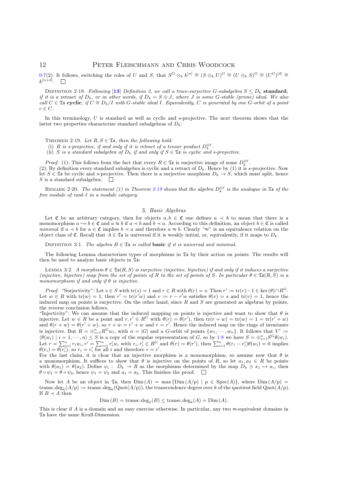#### 12 Peter Fleischmann and Chris Woodcock

0.[7\(](#page-3-2)2). It follows, switching the roles of U and S, that  $S^G \otimes_k k^{[n]} \cong (S \otimes_k U)^G \cong (U \otimes_k S)^G \cong (U^G)^{[d]} \cong$  $k^{[n+d]}.$ 

DEFINITION 2.18. Following [[13](#page-19-0)] Definition 3, we call a trace-surjective G-subalgebra  $S \leq D_k$  standard, if it is a retract of  $D_k$ , or in other words, if  $D_k = S \oplus J$ , where J is some G-stable (prime) ideal. We also call  $C \in \mathfrak{Ts}$  cyclic, if  $C \cong D_k/I$  with G-stable ideal I. Equivalently, C is generated by one G-orbit of a point  $c \in C$ .

In this terminology, U is standard as well as cyclic and s-projective. The next theorem shows that the latter two properties characterize standard subalgebras of  $D_k$ :

THEOREM 2.19. Let  $R, S \in \mathfrak{Ts}$ , then the following hold:

(i) R is s-projective, if and only if it is retract of a tensor product  $D_k^{\otimes \ell}$ .

(ii) S is a standard subalgebra of  $D_k$  if and only if  $S \in \mathfrak{S}$  is cyclic and s-projective.

*Proof.* (1): This follows from the fact that every  $R \in \mathfrak{Ts}$  is surjective image of some  $D_k^{\otimes \ell}$ . (2): By definition every standard subalgebra is cyclic and a retract of  $D_k$ . Hence by (1) it is s-projective. Now let  $S \in \mathfrak{S}_5$  be cyclic and s-projective. Then there is a surjective morphism  $D_k \to S$ , which must split, hence S is a standard subalgebra.  $\Box$ 

<span id="page-12-0"></span>REMARK 2.20. The statement (1) in Theorem 2.[19](#page-11-1) shows that the algebra  $D_k^{\otimes \ell}$  is the analogue in  $\mathfrak{Is}$  of the free module of rank  $\ell$  in a module category.

#### 3. Basic Algebras

Let  $\mathfrak C$  be an arbitrary category, then for objects  $a, b \in \mathfrak C$  one defines  $a \prec b$  to mean that there is a monomorphism  $a \hookrightarrow b \in \mathfrak{C}$  and  $a \approx b$  if  $a \prec b$  and  $b \prec a$ . According to this definition, an object  $b \in \mathfrak{C}$  is called minimal if  $a \prec b$  for  $a \in \mathfrak{C}$  implies  $b \prec a$  and therefore  $a \approx b$ . Clearly "≈" is an equivalence relation on the object class of  $\mathfrak{C}$ . Recall that  $A \in \mathfrak{Ts}$  is universal if it is weakly initial, or, equivalently, if it maps to  $D_k$ .

DEFINITION 3·1. The algebra  $B \in \mathfrak{S}$  is called **basic** if it is universal and minimal.

The following Lemma characterizes types of morphisms in  $\mathfrak{S}_5$  by their action on points. The results will then be used to analyze basic objects in  $\mathfrak{Ts}$ :

LEMMA 3.2. A morphism  $\theta \in \mathfrak{Is}(R, S)$  is surjective (injective, bijective) if and only if it induces a surjective (injective, bijective) map from the set of points of R to the set of points of S. In particular  $\theta \in \mathfrak{Is}(R,S)$  is a monomorphism if and only if  $\theta$  is injective.

*Proof.* "Surjectivity": Let  $s \in S$  with  $tr(s) = 1$  and  $r \in R$  with  $\theta(r) = s$ . Then  $r' := tr(r) - 1 \in \text{ker}(\theta) \cap R^G$ . Let  $w \in R$  with  $tr(w) = 1$ , then  $r' = tr(r'w)$  and  $v := r - r'w$  satisfies  $\theta(v) = s$  and  $tr(v) = 1$ , hence the induced map on points is surjective. On the other hand, since  $R$  and  $S$  are generated as algebras by points, the reverse conclusion follows.

"Injectivity": We can assume that the induced mapping on points is injective and want to show that  $\theta$  is injective. Let  $w \in R$  be a point and  $r, r' \in R^G$  with  $\theta(r) = \theta(r')$ , then  $tr(r+w) = tr(w) = 1 = tr(r'+w)$ and  $\theta(r+w) = \theta(r' + w)$ , so  $r+w = r' + w$  and  $r = r'$ . Hence the induced map on the rings of invariants is injective. But  $R = \bigoplus_{i=1}^{n} R^{G} w_i$ , with  $n = |G|$  and a G-orbit of points  $\{w_1, \dots, w_n\}$ . It follows that  $V' :=$  $\langle \theta(w_i) \mid i = 1, \dots, n \rangle \leq S$  $\langle \theta(w_i) \mid i = 1, \dots, n \rangle \leq S$  $\langle \theta(w_i) \mid i = 1, \dots, n \rangle \leq S$  is a copy of the regular representation of G, so by 1.8 we have  $S = \bigoplus_{i=1}^n S^G \theta(w_i)$ . Let  $r = \sum_{i=1}^n r_i w_i$ ,  $r' = \sum_{i=1}^n r'_i w_i$  with  $r_i, r'_i \in R^G$  and  $\theta(r) = \theta(r')$ , then  $\sum_{i=1}^n \theta(r_i - r'_i) \theta(w_i) = 0$  implies  $\theta(r_i) = \theta(r_i)$ , so  $r_i = r_i'$  for all i and therefore  $r = r'$ .

For the last claim, it is clear that an injective morphism is a monomorphism, so assume now that  $\theta$  is a monomorphism. It suffices to show that  $\theta$  is injective on the points of R, so let  $a_1, a_2 \in R$  be points with  $\theta(a_1) = \theta(a_2)$ . Define  $\psi_i : D_k \to R$  as the morphisms determined by the map  $D_k \ni x_1 \mapsto a_i$ , then  $\theta \circ \psi_1 = \theta \circ \psi_2$ , hence  $\psi_1 = \psi_2$  and  $a_1 = a_2$ . This finishes the proof.  $\Box$ 

<span id="page-12-1"></span>Now let A be an object in  $\mathfrak{Is}$ , then  $Dim(A) = \max \{Dim(A/p) \mid p \in Spec(A)\}\$ , where  $Dim(A/p) =$  $\mathrm{transc.deg}_k(A/\mathrm{p}) := \mathrm{transc.deg}_k(\mathrm{Quot}(A/\mathrm{p}))$ , the transcendence degree over k of the quotient field  $\mathrm{Quot}(A/\mathrm{p})$ . If  $B \prec A$  then

$$
Dim(B) = \operatorname{transc.deg}_k(B) \leq \operatorname{transc.deg}_k(A) = Dim(A).
$$

This is clear if A is a domain and an easy exercise otherwise. In particular, any two  $\approx$ -equivalent domains in  $\mathfrak T\mathfrak s$  have the same Krull-Dimension.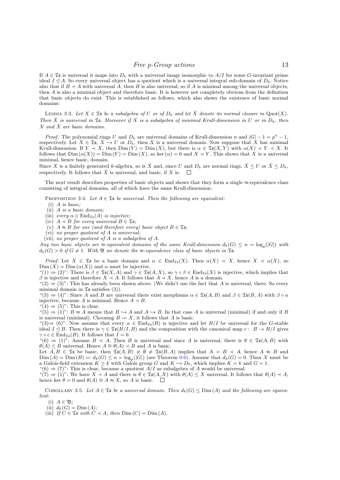If  $A \in \mathfrak{S}_5$  is universal it maps into  $D_k$  with a universal image isomorphic to  $A/I$  for some G-invariant prime ideal  $I \subseteq A$ . So every universal object has a quotient which is a universal integral sub-domain of  $D_k$ . Notice also that if  $B \prec A$  with universal A, then B is also universal; so if A is minimal among the universal objects, then A is also a minimal object and therefore basic. It is however not completely obvious from the definition that basic objects do exist. This is established as follows, which also shows the existence of basic normal domains:

LEMMA 3.3. Let  $X \in \mathfrak{S}$  be a subalgebra of U or of  $D_k$  and let  $\hat{X}$  denote its normal closure in Quot(X). Then  $\hat{X}$  is universal in  $\mathfrak{S}_5$ . Moreover if X is a subalgebra of minimal Krull-dimension in U or in  $D_k$ , then  $X$  and  $\hat{X}$  are basic domains.

*Proof.* The polynomial rings U and  $D_k$  are universal domains of Krull-dimension n and  $|G| - 1 = p<sup>n</sup> - 1$ , respectively. Let  $X \in \mathfrak{Is}, X \hookrightarrow U$  or  $D_k$ , then X is a universal domain. Now suppose that X has minimal Krull-dimension. If  $Y \prec X$ , then  $Dim(Y) = Dim(X)$ , but there is  $\alpha \in \mathfrak{Is}(X,Y)$  with  $\alpha(X) \prec Y \prec X$ . It follows that  $\text{Dim }(\alpha(X)) = \text{Dim }(\overline{Y}) = \text{Dim }(\overline{X})$ , so ker  $(\alpha) = 0$  and  $X \prec Y$ . This shows that X is a universal minimal, hence basic, domain.

Since X is a finitely generated k-algebra, so is  $\hat{X}$  and, since U and  $D_k$  are normal rings,  $\hat{X} \leq U$  or  $\hat{X} \leq D_k$ , respectively. It follows that  $\hat{X}$  is universal, and basic, if X is.  $\Box$ 

The next result describes properties of basic objects and shows that they form a single  $\approx$ -equivalence class consisting of integral domains, all of which have the same Krull-dimension:

PROPOSITION 3.4. Let  $A \in \mathfrak{Ts}$  be universal. Then the following are equivalent:

(i) A is basic;

 $(ii)$  A is a basic domain:

(iii) every  $\alpha \in \text{End}_{\mathfrak{Ts}}(A)$  is injective;

(iv)  $A \prec B$  for every universal  $B \in \mathfrak{Ts}$ ;

(v)  $A \approx B$  for one (and therefore every) basic object  $B \in \mathfrak{S}$ ;

- <span id="page-13-0"></span>(vi) no proper quotient of A is universal;
- (vii) no proper quotient of A is a subalgebra of A.

Any two basic objects are  $\approx$ -equivalent domains of the same Krull-dimension  $d_k(G) \leq n = \log_p(|G|)$  with  $d_k(G) > 0$  if  $G \neq 1$ . With  $\mathfrak{B}$  we denote the  $\approx$ -equivalence class of basic objects in  $\mathfrak{Is}.$ 

Proof. Let  $X \in \mathfrak{S}_5$  be a basic domain and  $\alpha \in \text{End}_{\mathfrak{S}_5}(X)$ . Then  $\alpha(X) \prec X$ , hence  $X \prec \alpha(X)$ , so  $\text{Dim}(X) = \text{Dim}(\alpha(X))$  and  $\alpha$  must be injective.

 $\mathfrak{p}(1) \Rightarrow (2)$ ": There is  $\beta \in \mathfrak{Is}(X, A)$  and  $\gamma \in \mathfrak{Is}(A, X)$ , so  $\gamma \circ \beta \in \text{End}_{\mathfrak{Is}}(X)$  is injective, which implies that  $\beta$  is injective and therefore  $X \prec A$ . It follows that  $A \prec X$ , hence A is a domain.

 $^{\prime\prime}(2) \rightarrow (3)$ ": This has already been shown above. (We didn't use the fact that A is universal, there. So every minimal domain in  $\mathfrak{Ts}$  satisfies (3)).

 $\mathfrak{B}(3) \Rightarrow (4)$ ": Since A and B are universal there exist morphisms  $\alpha \in \mathfrak{Is}(A, B)$  and  $\beta \in \mathfrak{Is}(B, A)$  with  $\beta \circ \alpha$ injective, because A is minimal. Hence  $A \prec B$ .

 $\degree$ (4)  $\Rightarrow$  (5)": This is clear.

 $\mathfrak{a}(5) \Rightarrow (1)$ ":  $B \approx A$  means that  $B \hookrightarrow A$  and  $A \hookrightarrow B$ . In that case A is universal (minimal) if and only if B is universal (minimal). Choosing  $B := X$ , it follows that A is basic.

"(3)  $\Rightarrow$  (6)": Now assume that every  $\alpha \in \text{End}_{\mathfrak{Is}}(B)$  is injective and let  $B/I$  be universal for the G-stable ideal  $I \subseteq B$ . Then there is  $\gamma \in \mathfrak{Ts}(B/I, B)$  and the composition with the canonical map  $c: B \to B/I$  gives  $\gamma \circ c \in \text{End}_{\mathfrak{Ts}}(B)$ . It follows that  $I = 0$ .

 $\mathfrak{g}(6) \Rightarrow (1)$ ": Assume  $B \prec A$ . Then B is universal and since A is universal, there is  $\theta \in \mathfrak{Is}(A, B)$  with  $\theta(A) \leq B$  universal. Hence  $A \cong \theta(A) \prec B$  and A is basic.

Let  $A, B \in \mathfrak{Ts}$  be basic, then  $\mathfrak{Ts}(A, B) \neq \emptyset \neq \mathfrak{Ts}(B, A)$  implies that  $A \prec B \prec A$ , hence  $A \approx B$  and  $\text{Dim}(A) = \text{Dim}(B) =: d_k(G) \leq n = \log_p(|G|)$  (see Theorem 0.[6\)](#page-3-1). Assume that  $d_k(G) = 0$ . Then X must be a Galois-field extension  $K \geq k$  with Galois group G and  $K \hookrightarrow D_k$ , which implies  $K = k$  and  $G = 1$ .

 $\mathfrak{g}(6) \Rightarrow (7)$ ": This is clear, because a quotient  $A/I$  as subalgebra of A would be universal.

 $\hat{\sigma}(7) \Rightarrow (1)^{n}$ : We have  $X \prec A$  and there is  $\theta \in \mathfrak{Ts}(A, X)$  with  $\theta(A) \leq X$  universal. It follows that  $\theta(A) \prec A$ , hence ker  $\theta = 0$  and  $\theta(A) \cong A \approx X$ , so A is basic.  $\square$ 

<span id="page-13-1"></span>COROLLARY 3.5. Let  $A \in \mathfrak{Ts}$  be a universal domain. Then  $d_k(G) \le \text{Dim}(A)$  and the following are equivalent:

(i)  $A \in \mathfrak{B}$ :

(ii)  $d_k(G) = \text{Dim}(A);$ 

(iii) If  $C \in \mathfrak{Ts}$  with  $C \prec A$ , then  $Dim(C) = Dim(A)$ .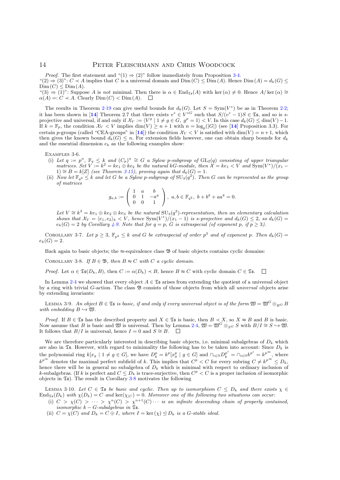*Proof.* The first statement and " $(1) \Rightarrow (2)$ " follow immediately from Proposition 3.[4.](#page-12-0) "(2)  $\Rightarrow$  (3)":  $C \prec A$  implies that C is a universal domain and  $\text{Dim}(C) \leq \text{Dim}(A)$ . Hence  $\text{Dim}(A) = d_k(G) \leq$  $Dim (C) < Dim (A).$  $\mathfrak{p}(3) \Rightarrow (1)$ ": Suppose A is not minimal. Then there is  $\alpha \in \text{End}_{\mathfrak{S}_5}(A)$  with ker  $(\alpha) \neq 0$ . Hence  $A/\text{ker}(\alpha) \cong \mathfrak{S}_5$ 

 $\alpha(A) =: C \prec A$ . Clearly  $\text{Dim}\,(C) < \text{Dim}\,(A)$ .  $\Box$ 

The results in Theorem 2.[19](#page-11-1) can give useful bounds for  $d_k(G)$ . Let  $S = \text{Sym}(V^*)$  be as in Theorem 2.[2;](#page-7-2) it has been shown in [[14](#page-19-12)] Theorem 2.7 that there exists  $v^* \in V^{*G}$  such that  $S/(v^* - 1)S \in \mathfrak{Is}$ , and so is sprojective and universal, if and only if  $\mathcal{X}_V := \langle V^g \mid 1 \neq g \in G, g^p = 1 \rangle \langle V$ . In this case  $d_k(G) \leq \dim(V) - 1$ . If  $k = \mathbb{F}_p$ , the condition  $\mathcal{X}_V < V$  implies  $\dim(V) \geq n+1$  with  $n = \log_p(|G|)$  (see [[14](#page-19-12)] Proposition 3.3). For certain p-groups (called "CEA-groups" in [[14](#page-19-12)]) the condition  $\mathcal{X}_V < V$  is satisfied with dim(V) =  $n+1$ , which then gives the known bound  $d_k(G) \leq n$ . For extension fields however, one can obtain sharp bounds for  $d_k$ and the essential dimension  $e_k$  as the following examples show:

Examples 3·6.

- (i) Let  $q := p^n$ ,  $\mathbb{F}_q \leq k$  and  $(C_p)^n \cong G$  a Sylow p-subgroup of  $GL_2(q)$  consisting of upper triangular matrices. Set  $V := k^2 = ke_1 \oplus ke_2$  be the natural kG-module, then  $\mathcal{X} = ke_1 < V$  and  $\text{Sym}(V^*)/(x_1 -$ 1)  $\cong$  B = k[Z] (see Theorem 3·[15\)](#page-15-0), proving again that  $d_k(G) = 1$ .
- (ii) Now let  $\mathbb{F}_{q^2} \leq k$  and let G be a Sylow p-subgroup of  $SU_3(q^2)$ . Then G can be represented as the group of matrices

$$
g_{a,b} := \left(\begin{array}{ccc} 1 & a & b \\ 0 & 1 & -a^q \\ 0 & 0 & 1 \end{array}\right), \ a,b \in \mathbb{F}_{q^2}, \ b+b^q + aa^q = 0.
$$

<span id="page-14-0"></span>Let  $V \cong k^3 = ke_1 \oplus ke_2 \oplus ke_3$  be the natural  $SU_3(q^2)$ -representation, then an elementary calculation shows that  $\mathcal{X}_V = \langle e_1, e_2 \rangle_k < V$ , hence  $\text{Sym}(V^*)/(x_1 - 1)$  is s-projective and  $d_k(G) \leq 2$ , so  $d_k(G)$  $e_k(G) = 2$  by Corollary 4.[9.](#page-18-0) Note that for  $q = p$ , G is extraspecial (of exponent p, if  $p \geq 3$ ).

COROLLARY 3.7. Let  $p \geq 3$ ,  $\mathbb{F}_{p^2} \leq k$  and G be extraspecial of order  $p^3$  and of exponent p. Then  $d_k(G)$  $e_k(G) = 2.$ 

Back again to basic objects; the  $\approx$ -equivalence class  $\mathfrak{B}$  of basic objects contains cyclic domains:

COROLLARY 3.8. If  $B \in \mathfrak{B}$ , then  $B \approx C$  with C a cyclic domain.

*Proof.* Let  $\alpha \in \mathfrak{Ts}(D_k, B)$ , then  $C := \alpha(D_k) \prec B$ , hence  $B \approx C$  with cyclic domain  $C \in \mathfrak{Ts}$ .

In Lemma [2](#page-8-1)·4 we showed that every object  $A \in \mathfrak{S}_5$  arises from extending the quotient of a universal object by a ring with trivial G-action. The class  $\mathfrak B$  consists of those objects from which all universal objects arise by extending invariants:

LEMMA 3.9. An object  $B \in \mathfrak{S}_5$  is basic, if and only if every universal object is of the form  $\mathfrak{W} = \mathfrak{W}^G \otimes_{B} B$ with embedding  $B \hookrightarrow \mathfrak{W}.$ 

*Proof.* If  $B \in \mathfrak{S}_5$  has the described property and  $X \in \mathfrak{S}_5$  is basic, then  $B \prec X$ , so  $X \approx B$  and B is basic. Now assume that B is basic and W is universal. Then by Lemma 2.[4,](#page-8-1)  $\mathfrak{W} = \mathfrak{W}^G \otimes_{S^G} S$  with  $B/I \cong S \hookrightarrow \mathfrak{W}$ . It follows that  $B/I$  is universal, hence  $I = 0$  and  $S \cong B$ . □

We are therefore particularly interested in describing basic objects, i.e. minimal subalgebras of  $D_k$  which are also in  $\mathfrak{Ts}$ . However, with regard to minimality the following has to be taken into account: Since  $D_k$  is the polynomial ring  $k[x_g \mid 1 \neq g \in G]$ , we have  $D_k^p = k^p [x_g^p \mid g \in G]$  and  $\bigcap_{i \in \mathbb{N}} D_k^{p^i} = \bigcap_{i \in \mathbb{N}} k^{p^i} = k^{p^{\infty}}$ , where  $k^{p^{\infty}}$  denotes the maximal perfect subfield of k. This implies that  $C^p < C$  for every subring  $C \neq k^{p^{\infty}} \leq D_k$ , hence there will be in general no subalgebra of  $D_k$  which is minimal with respect to ordinary inclusion of k-subalgebras. (If k is perfect and  $C \leq D_k$  is trace-surjective, then  $C^p < C$  is a proper inclusion of isomorphic objects in  $\mathfrak{S}_5$ . The result in Corollary [3](#page-13-0).8 motivates the following

<span id="page-14-1"></span>LEMMA 3.10. Let  $C \in \mathfrak{S}_5$  be basic and cyclic. Then up to isomorphism  $C \leq D_k$  and there exists  $\chi \in$  $\text{End}_{\mathfrak{S}_{\mathfrak{S}}}(D_k)$  with  $\chi(D_k) = C$  and  $\ker(\chi_{|C}) = 0$ . Moreover one of the following two situations can occur:

- (i)  $C > \chi(C) > \cdots > \chi^n(C) > \chi^{n+1}(C) \cdots$  is an infinite descending chain of properly contained, isomorphic  $k - G$ -subalgebras in  $\tilde{\mathfrak{S}}$ s.
- (ii)  $C = \chi(C)$  and  $D_k = C \oplus I$ , where  $I = \text{ker}(\chi) \trianglelefteq D_k$  is a G-stable ideal.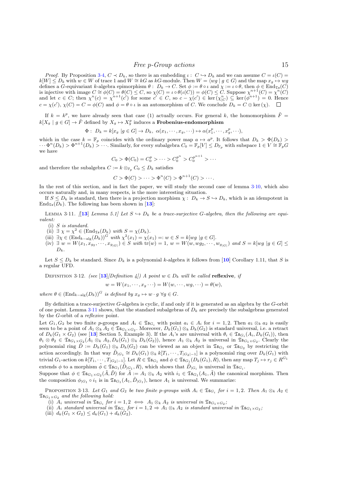*Proof.* By Proposition 3·[4,](#page-12-0)  $C \prec D_k$ , so there is an embedding  $\iota: C \rightarrow D_k$  and we can assume  $C = \iota(C)$  $k[W] \leq D_k$  with  $w \in W$  of trace 1 and  $W \cong kG$  as  $kG$ -module. Then  $W = \langle wg \mid g \in G \rangle$  and the map  $x_g \mapsto wg$ defines a G-equivariant k-algebra epimorphism  $\theta : D_k \to C$ . Set  $\phi := \theta \circ \iota$  and  $\chi := \iota \circ \theta$ , then  $\phi \in \text{End}_{\mathfrak{Is}}(C)$ <br>is injective with image  $C \cong \phi(C) = \theta(C) \leq C$ , so  $\chi(C) = \iota \circ \theta(\iota(C)) = \phi(C) \leq C$ . Suppose  $\chi^{n+1}(C) = \chi^n(C$ and let  $c \in C$ ; then  $\chi^{n}(c) = \chi^{n+1}(c')$  for some  $c' \in C$ , so  $c - \chi(c') \in \ker(\chi_{|C}^{n}) \subseteq \ker(\phi^{n+1}) = 0$ . Hence  $c = \chi(c')$ ,  $\chi(C) = C = \phi(C)$  and  $\phi = \theta \circ \iota$  is an automorphism of C. We conclude  $D_k = C \oplus \ker(\chi)$ .

<span id="page-15-1"></span>If  $k = k^p$ , we have already seen that case (1) actually occurs. For general k, the homomorphism  $\tilde{F} =$  $k[X_g\mid g\in G]\to \tilde{F}$  defined by  $X_g\mapsto X_g^p$  induces a **Frobenius-endomorphism** 

$$
\Phi: D_k = k[x_g \mid g \in G] \to D_k, \ \alpha(x_1, \dots, x_g, \dots) \mapsto \alpha(x_1^p, \dots, x_g^p, \dots),
$$

which in the case  $k = \mathbb{F}_p$  coincides with the ordinary power map  $a \mapsto a^p$ . It follows that  $D_k > \Phi(D_k)$  $\cdots \Phi^n(D_k) > \Phi^{n+1}(D_k) > \cdots$ . Similarly, for every subalgebra  $C_0 = \mathbb{F}_p[V] \leq D_{\mathbb{F}_p}$  with subspace  $1 \in V \cong \mathbb{F}_p[G]$ we have

$$
C_0 > \Phi(C_0) = C_0^p > \cdots > C_0^{p^n} > C_0^{p^{n+1}} > \cdots
$$

and therefore the subalgebra  $C := k \otimes_{\mathbb{F}_n} C_0 \leq D_k$  satisfies

$$
C > \Phi(C) > \cdots > \Phi^{n}(C) > \Phi^{n+1}(C) > \cdots
$$

In the rest of this section, and in fact the paper, we will study the second case of lemma 3·[10,](#page-13-1) which also occurs naturally and, in many respects, is the more interesting situation.

If  $S \leq D_k$  is standard, then there is a projection morphism  $\chi: D_k \to S \hookrightarrow D_k$ , which is an idempotent in  $\text{End}_{\mathfrak{Is}}(D_k)$ . The following has been shown in [[13](#page-19-0)]:

LEMMA 3.11. [[13](#page-19-0)] Lemma 5.1] Let  $S \hookrightarrow D_k$  be a trace-surjective G-algebra, then the following are equivalent:

- (i) S is standard.
- (ii)  $\exists \chi = \chi^2 \in (\text{End}_{\mathfrak{Ts}}(D_k))$  with  $S = \chi(D_k)$ .
- (iii)  $\exists \chi \in (\text{End}_{k-\text{alg}}(D_k))^G$  with  $\chi^2(x_1) = \chi(x_1) =: w \in S = k[wg \mid g \in G].$
- $(iv) \ \exists \ w = W(x_1, x_{g_2}, \cdots, x_{g_{|G|}}) \in S \ with \ tr(w) = 1, \ w = W(w, wg_2, \cdots, w_{g_{|G|}}) \ and \ S = k[wg \ | g \in G] \le$  $D_k$ .

Let  $S \leq D_k$  be standard. Since  $D_k$  is a polynomial k-algebra it follows from [[10](#page-19-5)] Corollary 1.11, that S is a regular UFD.

DEFINITION 3·12. (see [[13](#page-19-0)][Definition 4]) A point  $w \in D_k$  will be called **reflexive**, if

$$
w=W(x_1,\cdots,x_g\cdots)=W(w,\cdots,wg,\cdots)=\theta(w),
$$

where  $\theta \in (\text{End}_{k-\text{alg}}(D_k))^G$  is defined by  $x_q \mapsto w \cdot q \ \forall q \in G$ .

By definition a trace-surjective G-algebra is cyclic, if and only if it is generated as an algebra by the G-orbit of one point. Lemma 3.[11](#page-14-0) shows, that the standard subalgebras of  $D_k$  are precisely the subalgebras generated by the G-orbit of a reflexive point.

Let  $G_1, G_2$  be two finite p-groups and  $A_i \in \mathfrak{Is}_{G_i}$  with point  $a_i \in A_i$  for  $i = 1, 2$ . Then  $a_1 \otimes_k a_2$  is easily seen to be a point of  $A_1 \otimes_k A_2 \in \mathfrak{Is}_{G_1 \times G_2}$ . Moreover,  $D_k(G_1) \otimes_k D_k(G_2)$  is standard universal, i.e. a retract of  $D_k(G_1 \times G_2)$  (see [[13](#page-19-0)] Section 5, Example 3). If the  $A_i$ 's are universal with  $\theta_i \in \mathfrak{Is}_{G_i}(A_i, D_k(G_i))$ , then  $\theta_1 \otimes \theta_2 \in \mathfrak{Is}_{G_1 \times G_2}(A_1 \otimes_k A_2, D_k(G_1) \otimes_k D_k(G_2)),$  hence  $A_1 \otimes_k A_2$  is universal in  $\mathfrak{Is}_{G_1 \times G_2}$ . Clearly the polynomial ring  $\tilde{D} := D_k(G_1) \otimes_k D_k(G_2)$  can be viewed as an object in  $\mathfrak{Is}_{G_1}$  or  $\mathfrak{Is}_{G_2}$  by restricting the action accordingly. In that way  $\tilde{D}_{|G_1} \cong D_k(G_1) \otimes_k k[T_1, \cdots, T_{|G_2|-1}]$  is a polynomial ring over  $D_k(G_1)$  with trivial  $G_1$ -action on  $k[T_1, \dots, T_{|G_2|-1}]$ . Let  $R \in \mathfrak{Is}_{G_1}$  and  $\phi \in \mathfrak{Is}_{G_1}(D_k(G_1), R)$ , then any map  $T_j \mapsto r_j \in R^{G_1}$ extends  $\phi$  to a morphism  $\tilde{\phi} \in \mathfrak{Ts}_{G_1}(\tilde{D}_{|G_1}, R)$ , which shows that  $\tilde{D}_{|G_i}$  is universal in  $\mathfrak{Ts}_{G_i}$ .

<span id="page-15-0"></span>Suppose that  $\phi \in \mathfrak{Is}_{G_1 \times G_2}(\tilde{A}, \tilde{D})$  for  $\tilde{A} := A_1 \otimes_k A_2$  with  $i_1 \in \mathfrak{Is}_{G_1}(A_1, \tilde{A})$  the canonical morphism. Then the composition  $\phi_{|G_1} \circ i_1$  is in  $\mathfrak{Is}_{G_1}(A_1, \tilde{D}_{|G_1})$ , hence  $A_1$  is universal. We summarize:

PROPOSITION 3.13. Let  $G_1$  and  $G_2$  be two finite p-groups with  $A_i \in \mathfrak{Is}_{G_i}$  for  $i = 1, 2$ . Then  $A_1 \otimes_k A_2 \in$  $\mathfrak{Is}_{G_1\times G_2}$  and the following hold:

(i)  $\tilde{A}_i$  universal in  $\mathfrak{Is}_{G_i}$  for  $i = 1, 2 \iff A_1 \otimes_k A_2$  is universal in  $\mathfrak{Is}_{G_1 \times G_2}$ ;

(ii)  $A_i$  standard universal in  $\mathfrak{Is}_{G_i}$  for  $i = 1, 2 \Rightarrow A_1 \otimes_k A_2$  is standard universal in  $\mathfrak{Is}_{G_1 \times G_2}$ ,

(iii)  $d_k(G_1 \times G_2) \leq d_k(G_1) + d_k(G_2)$ .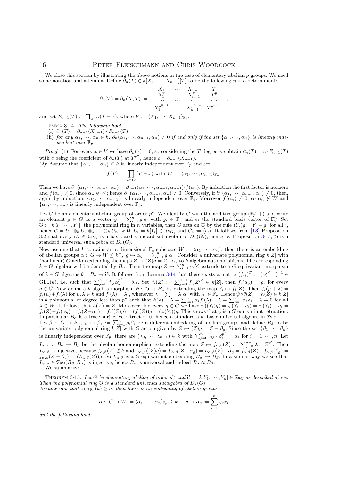We close this section by illustrating the above notions in the case of elementary-abelian p-groups. We need some notation and a lemma: Define  $\partial_n(T) \in k[X_1, \dots, X_{n-1}][T]$  to be the following  $n \times n$ -determinant:

$$
\partial_n(T) = \partial_n(\underline{X},T) := \begin{vmatrix} X_1 & \cdots & X_{n-1} & T \\ X_1^p & \cdots & X_{n-1}^p & T^p \\ \cdots & \cdots & \cdots & \cdots \\ X_1^{p^{n-1}} & \cdots & X_{n-1}^{p^{n-1}} & T^{p^{n-1}} \end{vmatrix},
$$

and set  $F_{n-1}(T) := \prod_{x \in V} (T - x)$ , where  $V := \langle X_1, \dots, X_{n-1} \rangle_{\mathbb{F}_p}$ .

- Lemma 3·14. The following hold:
- (i)  $\partial_n(T) = \partial_{n-1}(X_{n-1}) \cdot F_{n-1}(T);$
- (ii) for any  $\alpha_1, \dots, \alpha_n \in k$ ,  $\partial_n(\alpha_1, \dots, \alpha_{n-1}, \alpha_n) \neq 0$  if and only if the set  $\{\alpha_1, \dots, \alpha_n\}$  is linearly independent over  $\mathbb{F}_p$ .

*Proof.* (1): For every  $x \in V$  we have  $\partial_n(x) = 0$ , so considering the T-degree we obtain  $\partial_n(T) = c \cdot F_{n-1}(T)$ with c being the coefficient of  $\partial_n(T)$  at  $T^{p^n}$ , hence  $c = \partial_{n-1}(X_{n-1})$ . (2): Assume that  $\{\alpha_1, \cdots, \alpha_n\} \subseteq k$  is linearly independent over  $\mathbb{F}_p$  and set

$$
f(T) := \prod_{x \in W} (T - x) \text{ with } W := \langle \alpha_1, \cdots, \alpha_{n-1} \rangle_{\mathbb{F}_p}.
$$

Then we have  $\partial_n(\alpha_1, \dots, \alpha_{n-1}, \alpha_n) = \partial_{n-1}(\alpha_1, \dots, \alpha_{n-2}, \alpha_{n-1}) \cdot f(\alpha_n)$ . By induction the first factor is nonzero and  $f(\alpha_n) \neq 0$ , since  $\alpha_n \notin W$ ; hence  $\partial_n(\alpha_1, \dots, \alpha_{n-1}, \alpha_n) \neq 0$ . Conversely, if  $\partial_n(\alpha_1, \dots, \alpha_{n-1}, \alpha_n) \neq 0$ , then, again by induction,  $\{\alpha_1, \cdots, \alpha_{n-1}\}\$  is linearly independent over  $\mathbb{F}_p$ . Moreover  $f(\alpha_n) \neq 0$ , so  $\alpha_n \notin W$  and  $\{\alpha_1, \cdots, \alpha_n\}$  is linearly independent over  $\mathbb{F}_p$ .  $\Box$ 

Let G be an elementary-abelian group of order  $p^n$ . We identify G with the additive group  $(\mathbb{F}_p^n, +)$  and write an element  $g \in G$  as a vector  $g = \sum_{i=1}^n g_i e_i$  with  $g_i \in \mathbb{F}_p$  and  $e_i$  the standard basis vector of  $\mathbb{F}_p^n$ . Set  $\mathcal{O} := k[Y_1, \dots, Y_n]$ , the polynomial ring in n variables, then G acts on  $\mathcal{O}$  by the rule  $(Y_i)g =$ hence  $\mathcal{O} = U_1 \otimes_k U_2 \otimes_k \cdots \otimes_k U_n$ , with  $U_i = k[Y_i] \in \mathfrak{Is}_{G_i}$  and  $G_i := \langle e_i \rangle$ . It follows from [[13](#page-19-0)] Proposition 3.2 that every  $U_i \in \mathfrak{Is}_{G_i}$  is a basic and standard subalgebra of  $D_k(G_i)$ , hence by Proposition 3.[13,](#page-14-1)  $\mathfrak V$  is a standard universal subalgebra of  $D_k(G)$ .

Now assume that k contains an n-dimensional  $\mathbb{F}_p$ -subspace  $W := \langle \alpha_1, \dots, \alpha_n \rangle$ ; then there is an embedding of abelian groups  $\alpha: G \to W \leq k^+, g \mapsto \alpha_g := \sum_{i=1}^n g_i \alpha_i$ . Consider a univariate polynomial ring  $k[Z]$  with (nonlinear) G-action extending the maps  $Z \mapsto (Z)g = Z - \alpha_g$  to k-algebra automorphisms. The corresponding  $k - G$ -algebra will be denoted by  $B_{\alpha}$ . Then the map  $Z \mapsto \sum_{i=1}^{n} \alpha_i Y_i$  extends to a G-equivariant morphism of  $k - G$ -algebras  $\theta: B_{\alpha} \to \mathbb{C}$ . It follows from Lemma 3·[14](#page-15-1) that there exists a matrix  $(f_{ij})^T := (\alpha_i^{p^{j-1}})$  $\binom{p^{j-1}}{i}$ <sup>-1</sup>  $\in$  $GL_n(k)$ , i.e. such that  $\sum_{j=0}^{n-1} f_{ij} \alpha_k^{p^j} = \delta_{ik}$ . Set  $f_i(Z) := \sum_{j=0}^{n-1} f_{ij} Z^{p^j} \in k[Z]$ , then  $f_i(\alpha_g) = g_i$  for every  $g \in G$ . Now define a k-algebra morphism  $\psi : \mathfrak{V} \to B_\alpha$  by extending the map  $Y_i \mapsto f_i(Z)$ . Then  $f_i(\mu + \lambda) =$  $f_i(\mu) + f_i(\lambda)$  for  $\mu, \lambda \in k$  and  $f_i(\lambda) = \lambda_i$ , whenever  $\lambda = \sum_{i=1}^n \lambda_i \alpha_i$  with  $\lambda_i \in \mathbb{F}_p$ . Hence  $\psi \circ \theta(Z) = h(Z) \in k[Z]$ <br>is a polynomial of degree less than  $p^n$  such that  $h(\lambda) - \lambda = \sum_{i=1}^n \alpha_i f_i(\lambda) - \lambda = \sum_{i=1}^n \alpha_i \lambda_i - \$  $\lambda \in W$ . It follows that  $h(Z) = Z$ . Moreover, for every  $g \in G$  we have  $\psi((Y_i)g) = \psi(Y_i - g_i) = \psi(Y_i) - g_i =$  $f_i(Z) - f_i(\alpha_g) = f_i(Z - \alpha_g) = f_i((Z)g) = (f_i(Z))g = (\psi(Y_i))g$ . This shows that  $\psi$  is a G-equivariant retraction. In particular  $B_{\alpha}$  is a trace-surjective retract of U, hence a standard and basic universal algebra in  $\mathfrak{Is}_{G}$ . Let  $\beta: G \to k^+, g \mapsto \beta_g := \sum_{i=1}^n g_i \beta_i$  be a different embedding of abelian groups and define  $B_\beta$  to be the univariate polynomial ring  $k[Z]$  with G-action given by  $Z \mapsto (Z)g = Z - \beta_g$ . Since the set  $\{\beta_1, \dots, \beta_n\}$ is linearly independent over  $\mathbb{F}_p$ , there are  $(\lambda_0, \dots, \lambda_{n-1}) \in k$  with  $\sum_{j=0}^{n-1} \lambda_j \cdot \beta_i^{p^j} = \alpha_i$  for  $i = 1, \dots, n$ . Let  $L_{\alpha,\beta}: B_{\alpha} \to B_{\beta}$  be the algebra homomorphism extending the map  $Z \to f_{\alpha,\beta}(Z) := \sum_{j=0}^{n-1} \lambda_j \cdot Z^{p^j}$ . Then  $L_{\alpha,\beta}$  is injective, because  $f_{\alpha,\beta}(Z) \notin k$  and  $L_{\alpha,\beta}((Z)g) = L_{\alpha,\beta}(Z - \alpha_g) = L_{\alpha,\beta}(Z) - \alpha_g = f_{\alpha,\beta}(Z) - f_{\alpha,\beta}(\beta_g) =$  $f_{\alpha,\beta}(Z-\beta_g)=(L_{\alpha,\beta}(Z))g.$  So  $L_{\alpha,\beta}$  is a G-equivariant embedding  $B_{\alpha}\hookrightarrow B_{\beta}$ . In a similar way we see that  $L_{\beta,\alpha} \in \mathfrak{Is}_G(B_\beta, B_\alpha)$  is injective, hence  $B_\beta$  is universal and indeed  $B_\alpha \approx B_\beta$ .

We summarize

<span id="page-16-0"></span>THEOREM 3.15. Let G be elementary-abelian of order  $p^n$  and  $\mathcal{O} := k[Y_1, \dots, Y_n] \in \mathfrak{Is}_G$  as described above. Then the polynomial ring  $\mathfrak G$  is a standard universal subalgebra of  $D_k(G)$ . Assume now that  $\dim_{\mathbb{F}_p}(k) \geq n$ , then there is an embedding of abelian groups

$$
\alpha: G \to W:=\langle \alpha_1, \cdots, \alpha_n \rangle_{\mathbb{F}_p} \leq k^+, \ g \mapsto \alpha_g := \sum_{i=1}^n g_i \alpha_i
$$

and the following hold: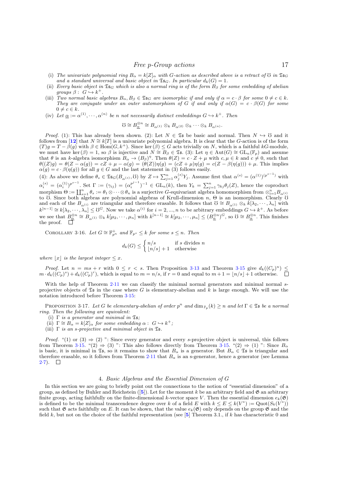- (i) The univariate polynomial ring  $B_{\alpha} = k[Z]_{\alpha}$  with G-action as described above is a retract of U in  $\mathfrak{Is}_{\mathbb{G}}$ and a standard universal and basic object in  $\mathfrak{Is}_G$ . In particular  $d_k(G) = 1$ .
- (ii) Every basic object in  $\mathfrak{S}_G$  which is also a normal ring is of the form  $B_g$  for some embedding of abelian groups  $\beta: G \hookrightarrow k^+$ .
- (iii) Two normal basic algebras  $B_{\alpha}, B_{\beta} \in \mathfrak{Is}_G$  are isomorphic if and only if  $\alpha = c \cdot \beta$  for some  $0 \neq c \in k$ . They are conjugate under an outer automorphism of G if and only if  $\alpha(G) = c \cdot \beta(G)$  for some  $0 \neq c \in k$ .
- (iv) Let  $\underline{\alpha} := \alpha^{(1)}, \dots, \alpha^{(n)}$  be n not necessarily distinct embeddings  $G \hookrightarrow k^+$ . Then

$$
\mho \cong B_{\underline{\alpha}}^{\otimes n} \cong B_{\alpha^{(1)}} \otimes_k B_{\alpha^{(2)}} \otimes_k \cdots \otimes_k B_{\alpha^{(n)}}.
$$

*Proof.* (1): This has already been shown. (2): Let  $N \in \mathfrak{S}$  be basic and normal. Then  $N \hookrightarrow \mathfrak{S}$  and it follows from [[12](#page-19-13)] that  $N \cong k[T]$  is a univariate polynomial algebra. It is clear that the G-action is of the form  $(T)g = T - \beta(g)$  with  $\beta \in \text{Hom}(G, k^+)$ . Since ker  $(\beta) \leq G$  acts trivially on N, which is a faithful kG-module, we must have ker  $(\beta) = 1$ , so  $\beta$  is injective and  $N \cong B_{\beta} \in \mathfrak{Ts}$ . (3): Let  $\eta \in Aut(G) \cong GL_n(\mathbb{F}_p)$  and assume that  $\theta$  is an k-algebra isomorphism  $B_{\alpha} \to (B_{\beta})^{\eta}$ . Then  $\theta(Z) = c \cdot Z + \mu$  with  $c, \mu \in k$  and  $c \neq 0$ , such that  $\theta((Z)g) = \theta(Z - \alpha(g)) = cZ + \mu - \alpha(g) = (\theta(Z))\eta(g) = (cZ + \mu)\eta(g) = c(Z - \beta(\eta(g))) + \mu$ . This implies  $\alpha(g) = c \cdot \beta(\eta(g))$  for all  $g \in G$  and the last statement in (3) follows easily.

(4): As above we define  $\theta_s \in \mathfrak{Is}_G(B_{\alpha^{(s)}}, \mathbb{C})$  by  $Z \mapsto \sum_{j=1}^n \alpha_j^{(s)} Y_j$ . Assume first that  $\alpha^{(s)} = (\alpha^{(1)})^{(p^{s-1})}$  with  $\alpha_i^{(s)} = (\alpha_i^{(1)})^{p^{s-1}}.$  Set  $\Gamma := (\gamma_{ij}) = (\alpha_i^{p^{j-1}})$  $\sum_{i=1}^{p^{j-1}}$   $\bigcap_{i=1}^{n}$   $\bigcap_{i=1}^{n}$   $\bigcap_{i=1}^{n}$   $\bigcap_{i=1}^{n}$   $\bigcap_{i=1}^{n}$   $\bigcap_{i=1}^{n}$   $\bigcap_{i=1}^{n}$   $\bigcap_{i=1}^{n}$   $\bigcap_{i=1}^{n}$   $\bigcap_{i=1}^{n}$   $\bigcap_{i=1}^{n}$   $\bigcap_{i=1}^{n}$   $\bigcap_{i=1}^{n}$   $\bigcap_{i=1}^{n}$   $\bigcap_{i=1$ morphism  $\Theta := \coprod_{s=1}^n \theta_s := \theta_1 \otimes \cdots \otimes \theta_n$  is a surjective G-equivariant algebra homomorphism from  $\otimes_{i=1}^n B_{\alpha^{(i)}}$ to U. Since both algebras are polynomial algebras of Krull-dimension  $n$ ,  $\Theta$  is an isomorphism. Clearly U and each of the  $B_{\alpha^{(i)}}$  are triangular and therefore erasable. It follows that  $\mathcal{O} \cong B_{\alpha^{(1)}} \otimes_k k[\lambda_2, \cdots, \lambda_n]$  with  $k^{[n-1]} \cong k[\lambda_2, \cdots, \lambda_n] \leq \mho^{G}$ . Now we take  $\alpha^{(i)}$  for  $i = 2, ..., n$  to be arbitrary embeddings  $G \hookrightarrow k^+$ . As before we see that  $\underline{B}_{\underline{\alpha}}^{\otimes n} \cong B_{\alpha^{(1)}} \otimes_k k[\mu_2, \cdots, \mu_n]$  with  $k^{[n-1]} \cong k[\mu_2, \cdots, \mu_n] \leq (B_{\underline{\alpha}}^{\otimes n})^G$ , so  $\mathcal{O} \cong B_{\underline{\alpha}}^{\otimes n}$ . This finishes the proof.  $\Box$ 

COROLLARY 3.16. Let  $G \cong \mathbb{F}_{p^n}^+$  and  $\mathbb{F}_{p^s} \leq k$  for some  $s \leq n$ . Then

$$
d_k(G) \le \begin{cases} n/s & \text{if } s \text{ divides } n \\ \lfloor n/s \rfloor + 1 & \text{otherwise} \end{cases}
$$

where  $|x|$  is the largest integer  $\leq x$ .

*Proof.* Let  $n = ms + r$  with  $0 \le r < s$ . Then Proposition 3.[13](#page-14-1) and Theorem 3.[15](#page-15-0) give  $d_k((C_p)^n) \le$  $m \cdot d_k((C_p)^s) + d_k((C_p)^r)$ , which is equal to  $m = n/s$ , if  $r = 0$  and equal to  $m + 1 = \lfloor n/s \rfloor + 1$  otherwise.  $\Box$ 

With the help of Theorem 2.[11](#page-9-1) we can classify the minimal normal generators and minimal normal sprojective objects of  $\mathfrak{Is}$  in the case where G is elementary-abelian and k is large enough. We will use the notation introduced before Theorem 3·[15:](#page-15-0)

<span id="page-17-0"></span>PROPOSITION 3.17. Let G be elementary-abelian of order  $p^n$  and  $\dim_{\mathbb{F}_p}(k) \geq n$  and let  $\Gamma \in \mathfrak{Ts}$  be a normal ring. Then the following are equivalent:

- (i)  $\Gamma$  is a generator and minimal in  $\mathfrak{Is};$
- (ii)  $\Gamma \cong B_{\alpha} = k[Z]_{\alpha}$  for some embedding  $\alpha: G \hookrightarrow k^{+}$ ;
- (iii)  $\Gamma$  is an s-projective and minimal object in  $\mathfrak{Is}.$

*Proof.* "(1) or (3)  $\Rightarrow$  (2) ": Since every generator and every s-projective object is universal, this follows from Theorem 3·[15.](#page-15-0) "(2)  $\Rightarrow$  (3) ": This also follows directly from Theorem 3·15. "(2)  $\Rightarrow$  (1) ": Since  $B_{\alpha}$ is basic, it is minimal in  $\mathfrak{I}_5$ , so it remains to show that  $B_\alpha$  is a generator. But  $B_\alpha \in \mathfrak{I}_5$  is triangular and therefore erasable, so it follows from Theorem 2.[11](#page-9-1) that  $B_{\alpha}$  is an s-generator, hence a generator (see Lemma  $2\cdot 7$ ).  $\Box$ 

#### 4. Basic Algebras and the Essential Dimension of G

<span id="page-17-1"></span>In this section we are going to briefly point out the connections to the notion of "essential dimension" of a group, as defined by Buhler and Reichstein ([[5](#page-19-11)]). Let for the moment k be an arbitrary field and  $\mathfrak{G}$  an arbitrary finite group, acting faithfully on the finite-dimensional k-vector space V. Then the essential dimension  $e_k(\mathfrak{G})$ is defined to be the minimal transcendence degree over k of a field E with  $k \le E \le k(V^*) := \mathrm{Quot}(S_k(V^*))$ such that  $\mathfrak G$  acts faithfully on E. It can be shown, that the value  $e_k(\mathfrak G)$  only depends on the group  $\mathfrak G$  and the field k, but not on the choice of the faithful representation (see [[5](#page-19-11)] Theorem 3.1., if k has characteristic 0 and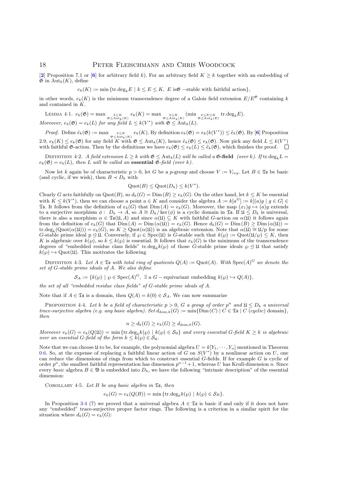[[2](#page-19-14)] Proposition 7.1 or [[6](#page-19-15)] for arbitrary field k). For an arbitrary field  $K \geq k$  together with an embedding of  $\mathfrak{G}$  in Aut<sub>k</sub> $(K)$ , define

$$
e_k(K):=\min\,\{\mathrm{tr.deg}_kE\mid k\leq E\leq K,\ E\text{ is}\\ \mathfrak{G}\text{ --stable with faithful action}\},
$$

in other words,  $e_k(K)$  is the minimum transcendence degree of a Galois field extension  $E/E^{\mathfrak{G}}$  containing k and contained in  $\hat{K}$ .

LEMMA 4.1.  $e_k(\mathfrak{G}) = \max_{\substack{k \leq K \\ \mathfrak{G} \leq \text{Aut}_k(K)}} e_k(K) = \max_{\substack{k \leq K \\ \mathfrak{G} \leq \text{Aut}_k(K)}} (\min_{\substack{k \leq E \leq K \\ \mathfrak{G} \leq \text{Aut}_k(E)}} \text{tr.deg.} kE).$ Moreover,  $e_k(\mathfrak{G}) = e_k(L)$  for any field  $L \leq k(V^*)$  with  $\mathfrak{G} \leq \text{Aut}_k(L)$ .

Proof. Define  $\tilde{e}_k(\mathfrak{G}) := \max_{\mathfrak{G} \leq \mathrm{Aut}_k(K)} e_k(K)$ . By definition  $e_k(\mathfrak{G}) = e_k(k(V^*)) \leq \tilde{e}_k(\mathfrak{G})$ . By [[6](#page-19-15)] Proposition 2.9,  $e_k(K) \leq e_k(\mathfrak{G})$  for any field K with  $\mathfrak{G} \leq \text{Aut}_k(K)$ , hence  $\tilde{e}_k(\mathfrak{G}) \leq e_k(\mathfrak{G})$ . Now pick any field  $L \leq k(V^*)$ with faithful G-action. Then by the definitions we have  $e_k(\mathfrak{G}) \leq e_k(L) \leq \tilde{e}_k(\mathfrak{G})$ , which finishes the proof.

DEFINITION 4.2. A field extension  $L > k$  with  $\mathfrak{G} < \text{Aut}_k(L)$  will be called a  $\mathfrak{G}\text{-field}$  (over k). If tr.deg,  $L =$  $e_k(\mathfrak{G}) = e_k(L)$ , then L will be called an essential  $\mathfrak{G}\text{-field}$  (over k).

Now let k again be of characteristic  $p > 0$ , let G be a p-group and choose  $V := V_{reg}$ . Let  $B \in \mathfrak{S}$  be basic (and cyclic, if we wish), then  $B \prec D_k$  with

$$
\mathrm{Quot}(B) \leq \mathrm{Quot}(D_k) \leq k(V^*).
$$

<span id="page-18-1"></span>Clearly G acts faithfully on  $Quot(B)$ , so  $d_k(G) = \text{Dim}(B) \geq e_k(G)$ . On the other hand, let  $k \leq K$  be essential with  $K \leq k(V^*)$ , then we can choose a point  $a \in K$  and consider the algebra  $A := k[a^G] := k[(a)g \mid g \in G]$ **Ts.** It follows from the definition of  $e_k(G)$  that  $Dim(A) = e_k(G)$ . Moreover, the map  $(x_1)g \mapsto (a)g$  extends to a surjective morphism  $\phi : D_k \to A$ , so  $A \cong D_k/\ker(\phi)$  is a cyclic domain in  $\mathfrak{Ts}$ . If  $\mathfrak{U} \leq D_k$  is universal, there is also a morphism  $\alpha \in \mathfrak{Ts}(\mathfrak{U}, A)$  and since  $\alpha(\mathfrak{U}) \subseteq K$  with faithful G-action on  $\alpha(\mathfrak{U})$  it follows again from the definition of  $e_k(G)$  that  $\overline{\mathrm{Dim}}(A) = \overline{\mathrm{Dim}}(\alpha(\mathfrak{U})) = e_k(G)$ . Hence  $d_k(G) = \overline{\mathrm{Dim}}(B) \ge \overline{\mathrm{Dim}}(\alpha(\mathfrak{U})) =$  $\text{tr.deg}_k(\text{Quot}(\alpha(\mathfrak{U})))=e_k(G)$ , so  $K\geq \text{Quot}(\alpha(\mathfrak{U}))$  is an algebraic extension. Note that  $\alpha(\mathfrak{U})\cong \mathfrak{U}/p$  for some G-stable prime ideal  $p \leq \mathfrak{U}$ . Conversely, if  $\varphi \in \text{Spec}(\mathfrak{U})$  is G-stable such that  $k(\varphi) := \text{Quot}(\mathfrak{U}/\varphi) \leq K$ , then K is algebraic over  $k(\varphi)$ , so  $k \leq k(\varphi)$  is essential. It follows that  $e_k(G)$  is the minimum of the transcendence degrees of "embedded residue class fields" tr.deg<sub>k</sub> $k(\varphi)$  of those G-stable prime ideals  $\varphi \leq \mathfrak{U}$  that satisfy  $k(\varphi) \hookrightarrow \mathrm{Quot}(\mathfrak{U})$ . This motivates the following

<span id="page-18-2"></span>DEFINITION 4.3. Let  $A \in \mathfrak{Ts}$  with total ring of quotients  $Q(A) := \mathrm{Quot}(A)$ . With  $\mathrm{Spec}(A)^G$  we denote the set of G-stable prime ideals of A. We also define

 $\mathcal{S}_A := \{k(\varphi) \mid \varphi \in \text{Spec}(A)^G, \exists \text{ a } G-\text{equivariant embedding } k(\varphi) \hookrightarrow Q(A)\},\$ 

the set of all "embedded residue class fields" of G-stable prime ideals of A.

Note that if  $A \in \mathfrak{Ts}$  is a domain, then  $Q(A) = k(0) \in \mathcal{S}_A$ . We can now summarize

PROPOSITION 4-4. Let k be a field of characteristic  $p > 0$ , G a group of order  $p^n$  and  $\mathfrak{U} \leq D_k$  a universal trace-surjective algebra (e.g. any basic algebra). Set  $d_{\text{dom},k}(G) := \min\{\text{Dim}(C) \mid C \in \mathfrak{TS} \mid C \text{ (cyclic) domain}\},$ then

$$
n \ge d_k(G) \ge e_k(G) \ge d_{\text{dom},k}(G).
$$

Moreover  $e_k(G) = e_k(Q(\mathfrak{U})) = \min\{\text{tr.deg}_k(k(\wp) \mid k(\wp) \in \mathcal{S}_{\mathfrak{U}}\})\}$  and every essential G-field  $K \geq k$  is algebraic over an essential G-field of the form  $k \leq k(\wp) \in S_{\mathfrak{U}}$ .

<span id="page-18-4"></span><span id="page-18-0"></span>Note that we can choose  $\mathfrak U$  to be, for example, the polynomial algebra  $U = k[Y_1, \dots, Y_n]$  mentioned in Theorem 0.[6.](#page-3-1) So, at the expense of replacing a faithful linear action of G on  $S(V^*)$  by a nonlinear action on U, one can reduce the dimensions of rings from which to construct essential  $G$ -fields. If for example G is cyclic of order  $p^n$ , the smallest faithful representation has dimension  $p^{n-1}+1$ , whereas U has Krull-dimension n. Since every basic algebra  $B \in \mathfrak{B}$  is embedded into  $D_k$ , we have the following "intrinsic description" of the essential dimension:

<span id="page-18-3"></span>COROLLARY 4.5. Let B be any basic algebra in  $\mathfrak{S}_5$ , then

$$
e_k(G) = e_k(Q(B)) = \min\{\text{tr.deg}_kk(\wp) \mid k(\wp) \in \mathcal{S}_B\}.
$$

In Proposition [3](#page-12-0).4 (7) we proved that a universal algebra  $A \in \mathfrak{Ts}$  is basic if and only if it does not have any "embedded" trace-surjective proper factor rings. The following is a criterion in a similar spirit for the situation where  $d_k(G) = e_k(G)$ :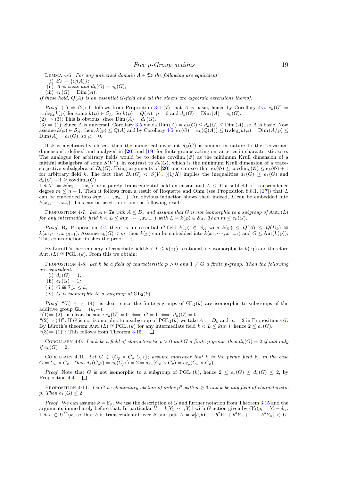LEMMA 4.6. For any universal domain  $A \in \mathfrak{S}$  the following are equivalent:

(i)  $S_A = \{Q(A)\};$ 

(ii) A is basic and  $d_k(G) = e_k(G)$ ;

(iii)  $e_k(G) = \text{Dim}(A)$ .

If these hold,  $Q(A)$  is an essential G-field and all the others are algebraic extensions thereof.

*Proof.* (1)  $\Rightarrow$  (2): It follows from Proposition [3](#page-12-0).4 (7) that A is basic, hence by Corollary 4.[5,](#page-17-1)  $e_k(G)$  = tr.deg<sub>k</sub> $k(\wp)$  for some  $k(\wp) \in \mathcal{S}_A$ . So  $k(\wp) = Q(A)$ ,  $\wp = 0$  and  $d_k(G) = \text{Dim}(A) = e_k(G)$ .  $(2) \Rightarrow (3)$ : This is obvious, since Dim  $(A) = d_k(G)$ .

 $(3) \Rightarrow (1)$  $(3) \Rightarrow (1)$  $(3) \Rightarrow (1)$ : Since A is universal, Corollary 3·5 yields Dim  $(A) = e_k(G) \leq d_k(G) \leq \text{Dim } (A)$ , so A is basic. Now assume  $k(\wp) \in \mathcal{S}_A$ ; then,  $k(\wp) \leq Q(A)$  and by Corollary  $4 \cdot 5$ ,  $e_k(G) = e_k(Q(A)) \leq \text{tr.deg}_k k(\wp) = \text{Dim } (A/\wp) \leq$  $\text{Dim}\,(A)=e_k(G)$ , so  $\wp=0$ .

If k is algebraically closed, then the numerical invariant  $d_k(G)$  is similar in nature to the "covariant" dimension", defined and analyzed in [[20](#page-20-7)] and [[19](#page-20-8)] for finite groups acting on varieties in characteristic zero. The analogue for arbitrary fields would be to define covdim<sub>k</sub>( $\mathfrak{G}$ ) as the minimum Krull dimension of a faithful subalgebra of some  $S(V^*)$ , in contrast to  $d_k(G)$ , which is the minimum Krull dimension of a tracesurjective subalgebra of  $D_k(G)$ . Using arguments of  $[20]$  $[20]$  $[20]$  one can see that  $e_k(\mathfrak{G}) \leq \text{covdim}_k(\mathfrak{G}) \leq e_k(\mathfrak{G}) + 1$ for arbitrary field k. The fact that  $D_k(G) < S(V_{reg})[1/X]$  implies the inequalities  $d_k(G) \geq e_k(G)$  and  $d_k(G) + 1 \geq \mathrm{covdim}_k(G).$ 

Let  $T := k(x_1, \dots, x_n)$  be a purely transcendental field extension and  $L \leq T$  a subfield of transcendence degree  $m \leq n - 1$ . Then it follows from a result of Roquette and Ohm (see Proposition 8.8.1. [[17](#page-19-7)]) that L can be embedded into  $k(x_1, \dots, x_{n-1})$ . An obvious induction shows that, indeed, L can be embedded into  $k(x_1, \dots, x_m)$ . This can be used to obtain the following result:

PROPOSITION 4·7. Let  $A \in \mathfrak{S}_5$  with  $A \leq D_k$  and assume that G is not isomorphic to a subgroup of  $\text{Aut}_k(L)$ for any intermediate field  $k < L \leq k(x_1, \dots, x_{m-1})$  with  $L = k(\wp) \in S_A$ . Then  $m \leq e_k(G)$ .

Proof. By Proposition [4](#page-17-0)·4 there is an essential G-field  $k(\wp) \in S_A$  with  $k(\wp) \le Q(A) \le Q(D_k) \cong$  $k(x_1, \dots, x_{|G|-1})$ . Assume  $e_k(G) < m$ , then  $k(\wp)$  can be embedded into  $k(x_1, \dots, x_{m-1})$  and  $G \leq \text{Aut}(k(\wp))$ . This contradiction finishes the proof.

By Lüroth's theorem, any intermediate field  $k < L \leq k(x_1)$  is rational, i.e. isomorphic to  $k(x_1)$  and therefore  $\text{Aut}_k(L) \cong \text{PGL}_2(k)$ . From this we obtain:

<span id="page-19-2"></span>PROPOSITION 4.8. Let k be a field of characteristic  $p > 0$  and  $1 \neq G$  a finite p-group. Then the following are equivalent:

<span id="page-19-14"></span>(i)  $d_k(G) = 1;$ 

(ii)  $e_k(G) = 1;$ 

<span id="page-19-8"></span><span id="page-19-6"></span>(iii)  $G \cong \mathbb{F}_{p^n}^+ \leq k$ ;

<span id="page-19-11"></span>(iv) G is isomorphic to a subgroup of  $GL_2(k)$ .

<span id="page-19-15"></span>*Proof.* "(3)  $\iff$  (4)" is clear, since the finite p-groups of  $GL_2(k)$  are isomorphic to subgroups of the additive group  $\mathbf{G}_a = (\vec{k}, +)$ .

<span id="page-19-1"></span>"(1)⇒ (2)" is clear, because  $e_k(G) = 0 \iff G = 1 \iff d_k(G) = 0$ .

<span id="page-19-16"></span> $\mathcal{L}(2) \Rightarrow (4)^n$ : If G is not isomorphic to a subgroup of PGL<sub>2</sub>(k) we take  $A := D_k$  and  $m = 2$  in Proposition 4·[7.](#page-18-1) By Lüroth's theorem  $\text{Aut}_k(L) \cong \text{PGL}_2(k)$  for any intermediate field  $k < L \leq k(x_1)$ , hence  $2 \leq e_k(G)$ .  $\overrightarrow{a(3)} \Rightarrow (1)$ ": This follows from Theorem 3.[15.](#page-15-0)

<span id="page-19-9"></span><span id="page-19-5"></span><span id="page-19-4"></span>COROLLARY 4.9. Let k be a field of characteristic  $p > 0$  and G a finite p-group, then  $d_k(G) = 2$  if and only if  $e_k(G) = 2$ .

<span id="page-19-13"></span>COROLLARY 4.10. Let  $G \in \{C_p \times C_p, C_p^2\}$ ; assume moreover that k is the prime field  $\mathbb{F}_p$  in the case  $G = C_p \times C_p$ . Then  $d_k(C_{p^2}) = e_k(C_{p^2}) = 2 = d_{\mathbb{F}_p}(C_p \times C_p) = e_{\mathbb{F}_p}(C_p \times C_p)$ .

<span id="page-19-0"></span>*Proof.* Note that G is not isomorphic to a subgroup of  $PGL_2(k)$ , hence  $2 \le e_k(G) \le d_k(G) \le 2$ , by Proposition [4.](#page-17-0)4.  $\Box$ 

<span id="page-19-12"></span><span id="page-19-3"></span>PROPOSITION 4.11. Let G be elementary-abelian of order  $p^n$  with  $n \geq 3$  and k be any field of characteristic p. Then  $e_k(G) \leq 2$ .

<span id="page-19-10"></span><span id="page-19-7"></span>*Proof.* We can assume  $k = \mathbb{F}_p$ . We use the description of G and further notation from Theorem 3.[15](#page-15-0) and the arguments immediately before that. In particular  $\hat{U} = k[Y_1, \dots, Y_n]$  with G-action given by  $(Y_j)g_i = Y_j - \delta_{ij}$ . Let  $b \in U^G \backslash k$ , so that b is transcendental over k and put  $A = k[b, bY_1 + b^2Y_2 + b^3Y_3 + ... + b^nY_n] < U$ .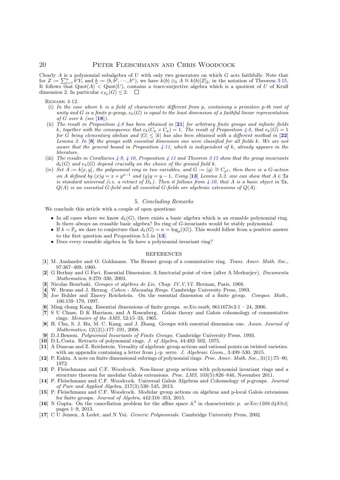<span id="page-20-9"></span><span id="page-20-8"></span>Clearly  $A$  is a polynomial subalgebra of  $U$  with only two generators on which  $G$  acts faithfully. Note that for  $Z := \sum_{i=1}^n \hat{b}^i Y_i$  and  $\underline{b} := (b, \vec{b}^2, \dots, b^n)$ , we have  $k(b) \otimes_k A \cong k(b)[Z]_{\bar{b}}$ , in the notation of Theorem 3·[15.](#page-15-0) It follows that  $Quot(A) < Quot(U)$ , contains a trace-surjective algebra which is a quotient of U of Krull dimension 2. In particular  $e_{F_p}(G) \leq 2$ .

<span id="page-20-7"></span>REMARK  $4.12$ .

- <span id="page-20-11"></span><span id="page-20-10"></span>(i) In the case where k is a field of characteristic different from p, containing a primitive p-th root of unity and G is a finite p-group,  $e_k(G)$  is equal to the least dimension of a faithful linear representation of G over  $k$  (see [[18](#page-20-9)]).
- <span id="page-20-6"></span><span id="page-20-2"></span><span id="page-20-1"></span>(ii) The result in Proposition  $4.8$  $4.8$  has been obtained in [[21](#page-20-10)] for arbitrary finite groups and infinite fields k, together with the consequence that  $e_k(C_p \times C_p) = 1$ . The result of Proposition 4.[8,](#page-18-2) that  $e_k(G) = 1$ for G being elementary abelian and  $|G| \leq |k|$  has also been obtained with a different method in  $[22]$  $[22]$  $[22]$ Lemma 2. In  $[8]$  $[8]$  $[8]$  the groups with essential dimension one were classified for all fields k. We are not aware that the general bound in Proposition  $\frac{1}{4}$  [11,](#page-18-3) which is independent of k, already appears in the literature.
- <span id="page-20-3"></span><span id="page-20-0"></span>(iii) The results in Corollaries 4.[9,](#page-18-0) 4.[10,](#page-18-4) Proposition 4.[11](#page-18-3) and Theorem 3.[15](#page-15-0) show that the group invariants  $d_k(G)$  and  $e_k(G)$  depend crucially on the choice of the ground field k.
- <span id="page-20-5"></span><span id="page-20-4"></span>(iv) Set  $A := k[x, y]$ , the polynomial ring in two variables, and  $G := \langle g \rangle \cong C_{p^2}$ , then there is a G-action on A defined by  $(x)g = x + y^{p-1}$  and  $(y)g = y - 1$ . Using [[13](#page-19-0)] Lemma 5.2. one can show that  $A \in \mathfrak{S}$ is standard universal (i.e. a retract of  $D_k$ ). Then it follows from 4.[10,](#page-18-4) that A is a basic object in  $\mathfrak{Is},$  $Q(A)$  is an essential G-field and all essential G-fields are algebraic extensions of  $Q(A)$ .

#### 5. Concluding Remarks

We conclude this article with a couple of open questions:

- In all cases where we know  $d_k(G)$ , there exists a basic algebra which is an erasable polynomial ring. Is there always an erasable basic algebra? Its ring of G-invariants would be stably polynomial.
- If  $k = \mathbb{F}_p$  we dare to conjecture that  $d_k(G) = n = \log_p(|G|)$ . This would follow from a positive answer to the first question and Proposition 5.5 in  $[13]$  $[13]$  $[13]$ .
- Does every erasable algebra in  $\mathfrak{S}$  have a polynomial invariant ring?

#### REFERENCES

- [1] M. Auslander and O. Goldmann. The Brauer group of a commutative ring. Trans. Amer. Math. Soc., 97:367–409, 1960.
- [2] G Berhuy and G Favi. Essential Dimension: A functorial point of view (after A Merkurjev). Documenta Mathematica, 8:270–330, 2003.
- [3] Nicolas Bourbaki. Groupes et algèbres de Lie, Chap. IV, V, VI. Herman, Paris, 1968.
- [4] W. Bruns and J. Herzog. Cohen Macaulay Rings. Cambridge University Press, 1993.
- [5] Joe Buhler and Zinovy Reichstein. On the essential dimension of a finite group. Compos. Math., 106:159–179, 1997.
- Ming chang Kang. Essential dimensions of finite groups.  $arXiv.math$ , 0611673v2:1 24, 2006.
- [7] S U Chase, D K Harrison, and A Rosenberg. Galois theory and Galois cohomology of commutative rings. Memoirs of the AMS, 52:15–33, 1965.
- [8] H. Chu, S. J. Hu, M. C. Kang, and J. Zhang. Groups with essential dimension one. Asian. Journal of Mathematics, 12((2)):177–191, 2008.
- [9] D.J.Benson. Polynomial Invariants of Finite Groups. Cambridge University Press, 1993.
- [10] D.L.Costa. Retracts of polynomial rings. J. of Algebra, 44:492-502, 1975.
- [11] A Duncan and Z. Reichstein. Versality of algebraic group actions and rational points on twisted varieties. with an appendix containing a letter from j.-p. serre. J. Algebraic Geom., 3:499-530, 2015.
- [12] P. Eakin. A note on finite dimensional subrings of polynomial rings. Proc. Amer. Math. Soc., 31(1):75–80, 1972.
- [13] P. Fleischmann and C.F. Woodcock. Non-linear group actions with polynomial invariant rings and a structure theorem for modular Galois extensions. Proc. LMS, 103(5):826–846, November 2011.
- [14] P. Fleischmann and C.F. Woodcock. Universal Galois Algebras and Cohomology of p-groups. Journal of Pure and Applied Algebra, 217(3):530–545, 2013.
- [15] P. Fleischmann and C.F. Woodcock. Modular group actions on algebras and p-local Galois extensions for finite groups. Journal of Algebra, 442:316–353, 2015.
- [16] N Gupta. On the cancellation problem for the affine space  $A^3$  in characteristic p.  $arXiv:1208.0483v2$ , pages 1–9, 2013.
- [17] C U Jensen, A Ledet, and N Yui. Generic Polynomials. Cambridge University Press, 2002.